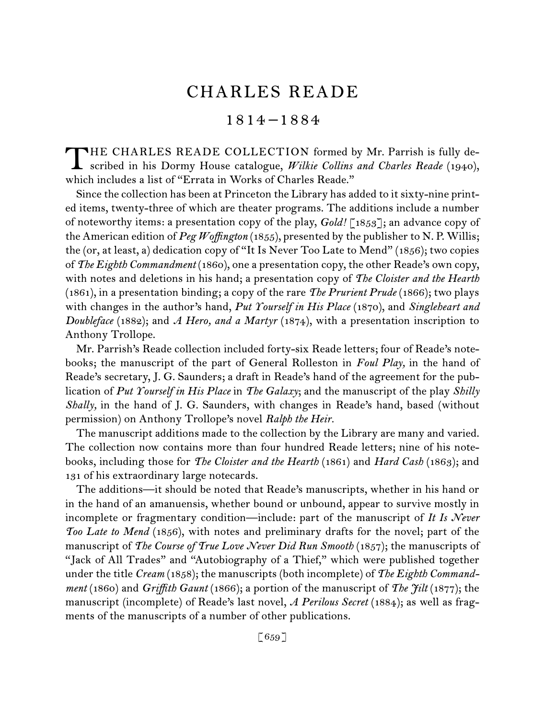# CHARLES READE

# 1814 –1884

HE CHARLES READE COLLECTION formed by Mr. Parrish is fully de-THE CHARLES READE COLLECTION formed by Mr. Parrish is fully described in his Dormy House catalogue, *Wilkie Collins and Charles Reade* (1940), which includes a list of "Errata in Works of Charles Reade."

Since the collection has been at Princeton the Library has added to it sixty-nine printed items, twenty-three of which are theater programs. The additions include a number of noteworthy items: a presentation copy of the play, *Gold!* [1853]; an advance copy of the American edition of *Peg Woffington* (1855), presented by the publisher to N. P. Willis; the (or, at least, a) dedication copy of "It Is Never Too Late to Mend" (1856); two copies of *The Eighth Commandment* (1860), one a presentation copy, the other Reade's own copy, with notes and deletions in his hand; a presentation copy of *The Cloister and the Hearth*  (1861), in a presentation binding; a copy of the rare *The Prurient Prude* (1866); two plays with changes in the author's hand, *Put Yourself in His Place* (1870), and *Singleheart and Doubleface* (1882); and *A Hero, and a Martyr* (1874), with a presentation inscription to Anthony Trollope.

Mr. Parrish's Reade collection included forty-six Reade letters; four of Reade's notebooks; the manuscript of the part of General Rolleston in *Foul Play,* in the hand of Reade's secretary, J. G. Saunders; a draft in Reade's hand of the agreement for the publication of *Put Yourself in His Place* in *The Galaxy*; and the manuscript of the play *Shilly Shally,* in the hand of J. G. Saunders, with changes in Reade's hand, based (without permission) on Anthony Trollope's novel *Ralph the Heir.*

The manuscript additions made to the collection by the Library are many and varied. The collection now contains more than four hundred Reade letters; nine of his notebooks, including those for *The Cloister and the Hearth* (1861) and *Hard Cash* (1863); and 131 of his extraordinary large notecards.

The additions—it should be noted that Reade's manuscripts, whether in his hand or in the hand of an amanuensis, whether bound or unbound, appear to survive mostly in incomplete or fragmentary condition—include: part of the manuscript of *It Is Never Too Late to Mend* (1856), with notes and preliminary drafts for the novel; part of the manuscript of *The Course of True Love Never Did Run Smooth* (1857); the manuscripts of "Jack of All Trades" and "Autobiography of a Thief," which were published together under the title *Cream* (1858); the manuscripts (both incomplete) of *The Eighth Commandment* (1860) and *Griffith Gaunt* (1866); a portion of the manuscript of *The Jilt* (1877); the manuscript (incomplete) of Reade's last novel, *A Perilous Secret* (1884); as well as fragments of the manuscripts of a number of other publications.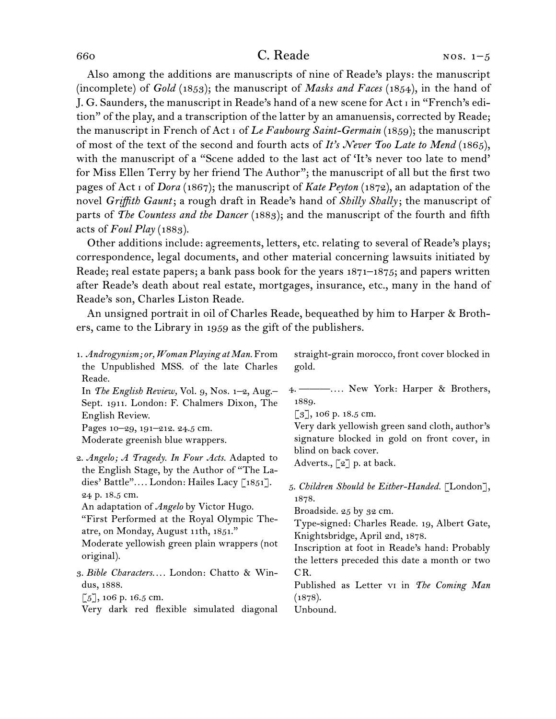## 660 C. Reade

Also among the additions are manuscripts of nine of Reade's plays: the manuscript (incomplete) of *Gold* (1853); the manuscript of *Masks and Faces* (1854), in the hand of J. G. Saunders, the manuscript in Reade's hand of a new scene for Act i in "French's edition" of the play, and a transcription of the latter by an amanuensis, corrected by Reade; the manuscript in French of Act i of *Le Faubourg Saint-Germain* (1859); the manuscript of most of the text of the second and fourth acts of *It's Never Too Late to Mend* (1865), with the manuscript of a "Scene added to the last act of 'It's never too late to mend' for Miss Ellen Terry by her friend The Author"; the manuscript of all but the first two pages of Act i of *Dora* (1867); the manuscript of *Kate Peyton* (1872), an adaptation of the novel *Griffith Gaunt*; a rough draft in Reade's hand of *Shilly Shally*; the manuscript of parts of *The Countess and the Dancer* (1883); and the manuscript of the fourth and fifth acts of *Foul Play* (1883).

Other additions include: agreements, letters, etc. relating to several of Reade's plays; correspondence, legal documents, and other material concerning lawsuits initiated by Reade; real estate papers; a bank pass book for the years 1871–1875; and papers written after Reade's death about real estate, mortgages, insurance, etc., many in the hand of Reade's son, Charles Liston Reade.

An unsigned portrait in oil of Charles Reade, bequeathed by him to Harper & Brothers, came to the Library in 1959 as the gift of the publishers.

| 1. Androgynism; or, Woman Playing at Man. From<br>the Unpublished MSS. of the late Charles<br>Reade.                                                                                                                                                                                                                                                         | straight-grain morocco, front cover blocked in<br>gold.                                                                                                                                                                                                                                                                                                                                                                                                                                                                                   |
|--------------------------------------------------------------------------------------------------------------------------------------------------------------------------------------------------------------------------------------------------------------------------------------------------------------------------------------------------------------|-------------------------------------------------------------------------------------------------------------------------------------------------------------------------------------------------------------------------------------------------------------------------------------------------------------------------------------------------------------------------------------------------------------------------------------------------------------------------------------------------------------------------------------------|
| In The English Review, Vol. 9, Nos. 1–2, Aug.–<br>Sept. 1911. London: F. Chalmers Dixon, The<br>English Review.<br>Pages 10-29, 191-212. 24.5 cm.<br>Moderate greenish blue wrappers.                                                                                                                                                                        | 4. — — … New York: Harper & Brothers,<br>1889.<br>$\lbrack 3 \rbrack$ , 106 p. 18.5 cm.<br>Very dark yellowish green sand cloth, author's<br>signature blocked in gold on front cover, in<br>blind on back cover.<br>Adverts., $\lbrack 2 \rbrack$ p. at back.<br>5. Children Should be Either-Handed. [London],<br>1878.<br>Broadside. 25 by 32 cm.<br>Type-signed: Charles Reade. 19, Albert Gate,<br>Knightsbridge, April 2nd, 1878.<br>Inscription at foot in Reade's hand: Probably<br>the letters preceded this date a month or two |
| 2. Angelo; A Tragedy. In Four Acts. Adapted to<br>the English Stage, by the Author of "The La-<br>dies' Battle" London: Hailes Lacy [1851].<br>24 p. 18.5 cm.<br>An adaptation of Angelo by Victor Hugo.<br>"First Performed at the Royal Olympic The-<br>atre, on Monday, August 11th, 1851."<br>Moderate yellowish green plain wrappers (not<br>original). |                                                                                                                                                                                                                                                                                                                                                                                                                                                                                                                                           |
| 3. Bible Characters London: Chatto & Win-<br>dus, 1888.<br>$\lceil 5 \rceil$ , 106 p. 16.5 cm.<br>Very dark red flexible simulated diagonal                                                                                                                                                                                                                  | CR.<br>Published as Letter vi in The Coming Man<br>(1878).<br>Unbound.                                                                                                                                                                                                                                                                                                                                                                                                                                                                    |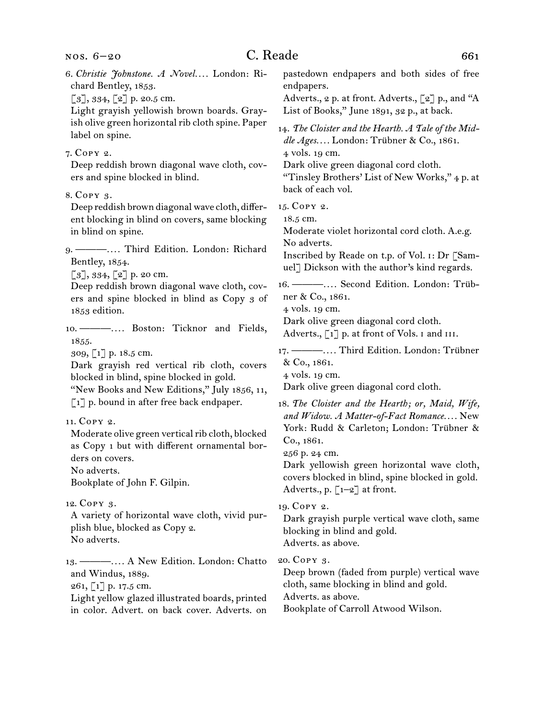# C. Reade 661

| 6. Christie Johnstone. A Novel London: Ri-<br>chard Bentley, 1853.<br>$\lbrack 3 \rbrack, 334, \lbrack 2 \rbrack$ p. 20.5 cm.<br>Light grayish yellowish brown boards. Gray-<br>ish olive green horizontal rib cloth spine. Paper            | pastedown endpapers and both sides of free<br>endpapers.<br>Adverts., 2 p. at front. Adverts., [2] p., and "A<br>List of Books," June 1891, 32 p., at back.                                                                                                                                                           |
|----------------------------------------------------------------------------------------------------------------------------------------------------------------------------------------------------------------------------------------------|-----------------------------------------------------------------------------------------------------------------------------------------------------------------------------------------------------------------------------------------------------------------------------------------------------------------------|
| label on spine.                                                                                                                                                                                                                              | 14. The Cloister and the Hearth. A Tale of the Mid-<br>dle Ages London: Trübner & Co., 1861.                                                                                                                                                                                                                          |
| 7. Сору 2.<br>Deep reddish brown diagonal wave cloth, cov-<br>ers and spine blocked in blind.                                                                                                                                                | 4 vols. 19 cm.<br>Dark olive green diagonal cord cloth.<br>"Tinsley Brothers' List of New Works," 4 p. at                                                                                                                                                                                                             |
| 8. Сору 3.<br>Deep reddish brown diagonal wave cloth, differ-<br>ent blocking in blind on covers, same blocking<br>in blind on spine.<br>9. - Third Edition. London: Richard<br>Bentley, 1854.                                               | back of each vol.<br>15. COPY 2.<br>18.5 cm.<br>Moderate violet horizontal cord cloth. A.e.g.<br>No adverts.<br>Inscribed by Reade on t.p. of Vol. 1: Dr [Sam-<br>uel] Dickson with the author's kind regards.                                                                                                        |
| $[3]$ , 334, $[2]$ p. 20 cm.<br>Deep reddish brown diagonal wave cloth, cov-<br>ers and spine blocked in blind as Copy 3 of<br>1853 edition.<br>10. --------- Boston: Ticknor and Fields,                                                    | 16. - Second Edition. London: Trüb-<br>ner & Co., 1861.<br>4 vols. 19 cm.<br>Dark olive green diagonal cord cloth.<br>Adverts., [1] p. at front of Vols. I and III.                                                                                                                                                   |
| 1855.<br>309, [1] p. 18.5 cm.<br>Dark grayish red vertical rib cloth, covers<br>blocked in blind, spine blocked in gold.<br>"New Books and New Editions," July 1856, 11,                                                                     | 17. ------------ Third Edition. London: Trübner<br>& Co., 1861.<br>4 vols. 19 cm.<br>Dark olive green diagonal cord cloth.                                                                                                                                                                                            |
| $\lceil 1 \rceil$ p. bound in after free back endpaper.<br>11. Сору 2.<br>Moderate olive green vertical rib cloth, blocked<br>as Copy 1 but with different ornamental bor-<br>ders on covers.<br>No adverts.<br>Bookplate of John F. Gilpin. | 18. The Cloister and the Hearth; or, Maid, Wife,<br>and Widow. A Matter-of-Fact Romance New<br>York: Rudd & Carleton; London: Trübner &<br>Co., 1861.<br>256 p. 24 cm.<br>Dark yellowish green horizontal wave cloth,<br>covers blocked in blind, spine blocked in gold.<br>Adverts., p. $\left[1-2\right]$ at front. |
| 12. Copy 3.<br>A variety of horizontal wave cloth, vivid pur-<br>plish blue, blocked as Copy 2.<br>No adverts.                                                                                                                               | 19. COPY 2.<br>Dark grayish purple vertical wave cloth, same<br>blocking in blind and gold.<br>Adverts. as above.                                                                                                                                                                                                     |
| 13. — —  A New Edition. London: Chatto<br>and Windus, 1889.<br>261, [1] p. 17.5 cm.<br>Light yellow glazed illustrated boards, printed<br>in color. Advert. on back cover. Adverts. on                                                       | 20. COPY 3.<br>Deep brown (faded from purple) vertical wave<br>cloth, same blocking in blind and gold.<br>Adverts. as above.<br>Bookplate of Carroll Atwood Wilson.                                                                                                                                                   |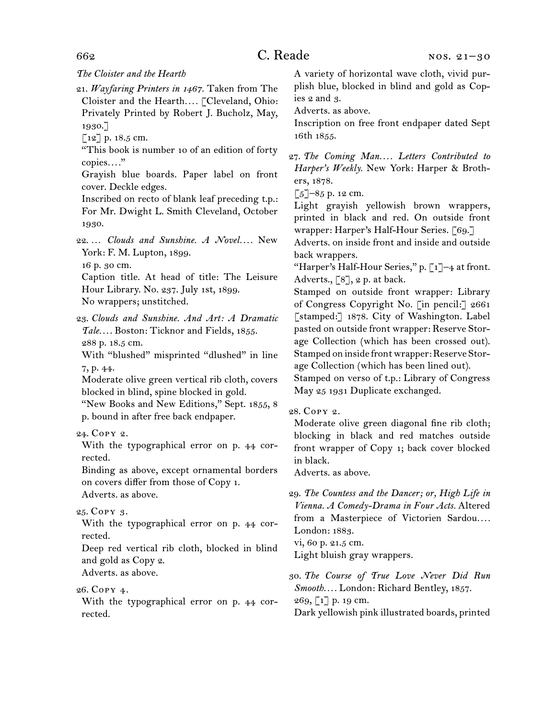#### *The Cloister and the Hearth*

21. *Wayfaring Printers in 1467.* Taken from The Cloister and the Hearth*. . . .* [Cleveland, Ohio: Privately Printed by Robert J. Bucholz, May, 1930.]

 $[12]$  p. 18.5 cm.

"This book is number 10 of an edition of forty copies*. . . .*"

Grayish blue boards. Paper label on front cover. Deckle edges.

Inscribed on recto of blank leaf preceding t.p.: For Mr. Dwight L. Smith Cleveland, October 1930.

22. ... *Clouds and Sunshine. A Novel....* New York: F. M. Lupton, 1899. 16 p. 30 cm.

Caption title. At head of title: The Leisure Hour Library. No. 237. July 1st, 1899. No wrappers; unstitched.

23. *Clouds and Sunshine. And Art: A Dramatic Tale. . . .* Boston: Ticknor and Fields, 1855. 288 p. 18.5 cm.

With "blushed" misprinted "dlushed" in line 7, p. 44.

Moderate olive green vertical rib cloth, covers blocked in blind, spine blocked in gold.

"New Books and New Editions," Sept. 1855, 8 p. bound in after free back endpaper.

### 24. Copy 2.

With the typographical error on p. 44 corrected.

Binding as above, except ornamental borders on covers differ from those of Copy 1. Adverts. as above.

#### 25. Copy 3.

With the typographical error on p. 44 corrected.

Deep red vertical rib cloth, blocked in blind and gold as Copy 2.

Adverts. as above.

26. Copy 4.

With the typographical error on p. 44 corrected.

A variety of horizontal wave cloth, vivid purplish blue, blocked in blind and gold as Copies 2 and 3.

Adverts. as above.

Inscription on free front endpaper dated Sept 16th 1855.

 $\lceil 5 \rceil$ –85 p. 12 cm.

Light grayish yellowish brown wrappers, printed in black and red. On outside front wrapper: Harper's Half-Hour Series. [69.]

Adverts. on inside front and inside and outside back wrappers.

"Harper's Half-Hour Series," p.  $\lceil 1 \rceil$ -4 at front. Adverts.,  $\lceil 8 \rceil$ , 2 p. at back.

Stamped on outside front wrapper: Library of Congress Copyright No. [in pencil:] 2661 [stamped:] 1878. City of Washington. Label pasted on outside front wrapper: Reserve Storage Collection (which has been crossed out). Stamped on inside front wrapper: Reserve Storage Collection (which has been lined out).

Stamped on verso of t.p.: Library of Congress May 25 1931 Duplicate exchanged.

#### 28. Copy 2.

Moderate olive green diagonal fine rib cloth; blocking in black and red matches outside front wrapper of Copy 1; back cover blocked in black.

Adverts. as above.

vi, 60 p. 21.5 cm. Light bluish gray wrappers.

30. *The Course of True Love Never Did Run Smooth. . . .* London: Richard Bentley, 1857.  $269, 17$  p. 19 cm. Dark yellowish pink illustrated boards, printed

<sup>27.</sup> *The Coming Man. . . . Letters Contributed to Harper's Weekly.* New York: Harper & Brothers, 1878.

<sup>29.</sup> *The Countess and the Dancer; or, High Life in Vienna. A Comedy-Drama in Four Acts.* Altered from a Masterpiece of Victorien Sardou*. . . .* London: 1883.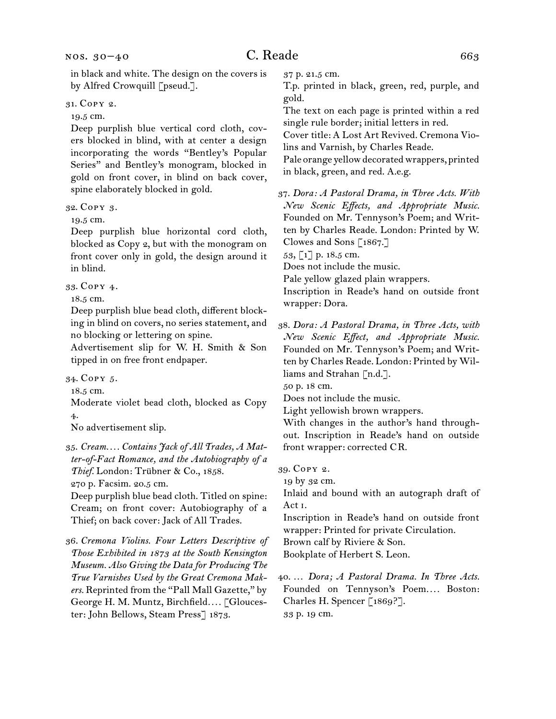31. Copy 2.

#### 19.5 cm.

Deep purplish blue vertical cord cloth, covers blocked in blind, with at center a design incorporating the words "Bentley's Popular Series" and Bentley's monogram, blocked in gold on front cover, in blind on back cover, spine elaborately blocked in gold.

32. Copy 3.

19.5 cm.

Deep purplish blue horizontal cord cloth, blocked as Copy 2, but with the monogram on front cover only in gold, the design around it in blind.

33. Copy 4.

18.5 cm.

Deep purplish blue bead cloth, different blocking in blind on covers, no series statement, and no blocking or lettering on spine.

Advertisement slip for W. H. Smith & Son tipped in on free front endpaper.

34. Copy 5.

18.5 cm.

Moderate violet bead cloth, blocked as Copy 4.

No advertisement slip.

35. *Cream. . . . Contains Jack of All Trades, A Matter-of-Fact Romance, and the Autobiography of a*  Thief. London: Trübner & Co., 1858.

270 p. Facsim. 20.5 cm.

Deep purplish blue bead cloth. Titled on spine: Cream; on front cover: Autobiography of a Thief; on back cover: Jack of All Trades.

36. *Cremona Violins. Four Letters Descriptive of Those Exhibited in 1873 at the South Kensington Museum. Also Giving the Data for Producing The True Varnishes Used by the Great Cremona Makers.* Reprinted from the "Pall Mall Gazette," by George H. M. Muntz, Birchfield*. . . .* [Gloucester: John Bellows, Steam Press] 1873.

37 p. 21.5 cm.

T.p. printed in black, green, red, purple, and gold.

The text on each page is printed within a red single rule border; initial letters in red.

Cover title: A Lost Art Revived. Cremona Violins and Varnish, by Charles Reade.

Pale orange yellow decorated wrappers, printed in black, green, and red. A.e.g.

37. *Dora: A Pastoral Drama, in Three Acts. With New Scenic Effects, and Appropriate Music.* Founded on Mr. Tennyson's Poem; and Written by Charles Reade. London: Printed by W. Clowes and Sons [1867.]

53, [1] p. 18.5 cm.

Does not include the music.

Pale yellow glazed plain wrappers.

Inscription in Reade's hand on outside front wrapper: Dora.

38. *Dora: A Pastoral Drama, in Three Acts, with New Scenic Effect, and Appropriate Music.* Founded on Mr. Tennyson's Poem; and Written by Charles Reade. London: Printed by Williams and Strahan [n.d.].

50 p. 18 cm.

Does not include the music.

Light yellowish brown wrappers.

With changes in the author's hand throughout. Inscription in Reade's hand on outside front wrapper: corrected CR.

39. Copy 2.

19 by 32 cm.

Inlaid and bound with an autograph draft of Act i.

Inscription in Reade's hand on outside front wrapper: Printed for private Circulation.

Brown calf by Riviere & Son.

Bookplate of Herbert S. Leon.

40. … *Dora; A Pastoral Drama. In Three Acts.*  Founded on Tennyson's Poem.... Boston: Charles H. Spencer [1869?]. 33 p. 19 cm.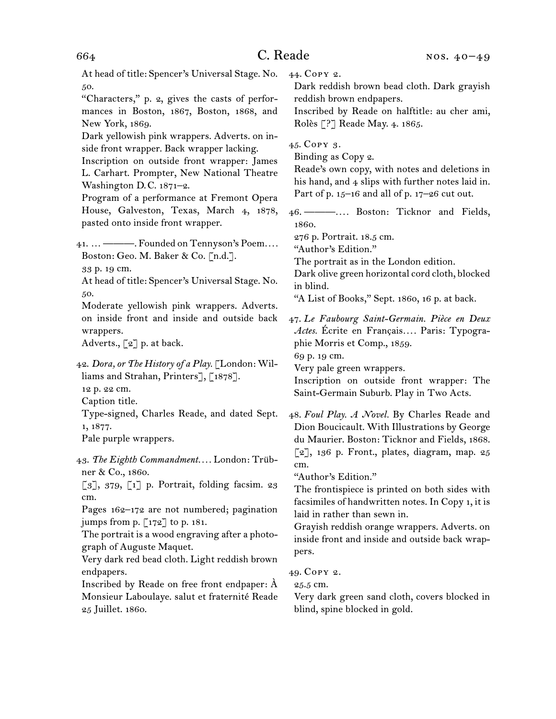At head of title: Spencer's Universal Stage. No. 50.

"Characters," p. 2, gives the casts of performances in Boston, 1867, Boston, 1868, and New York, 1869.

Dark yellowish pink wrappers. Adverts. on inside front wrapper. Back wrapper lacking.

Inscription on outside front wrapper: James L. Carhart. Prompter, New National Theatre Washington D.C. 1871–2.

Program of a performance at Fremont Opera House, Galveston, Texas, March 4, 1878, pasted onto inside front wrapper.

41. … ———. Founded on Tennyson's Poem*. . . .* Boston: Geo. M. Baker & Co. [n.d.].

33 p. 19 cm.

At head of title: Spencer's Universal Stage. No. 50.

Moderate yellowish pink wrappers. Adverts. on inside front and inside and outside back wrappers.

Adverts.,  $\lbrack 2 \rbrack$  p. at back.

42. *Dora, or The History of a Play.* [London: Williams and Strahan, Printers], [1878].

12 p. 22 cm.

Caption title.

Type-signed, Charles Reade, and dated Sept. 1, 1877.

Pale purple wrappers.

43. *The Eighth Commandment. . . .* London: Trübner & Co., 1860.

 $\lceil 3 \rceil$ , 379,  $\lceil 1 \rceil$  p. Portrait, folding facsim. 23 cm.

Pages 162–172 are not numbered; pagination jumps from p.  $\lceil 172 \rceil$  to p. 181.

The portrait is a wood engraving after a photograph of Auguste Maquet.

Very dark red bead cloth. Light reddish brown endpapers.

Inscribed by Reade on free front endpaper: À Monsieur Laboulaye. salut et fraternité Reade 25 Juillet. 1860.

44. Copy 2.

Dark reddish brown bead cloth. Dark grayish reddish brown endpapers.

Inscribed by Reade on halftitle: au cher ami, Rolès [?] Reade May. 4. 1865.

45. Copy 3.

Binding as Copy 2.

Reade's own copy, with notes and deletions in his hand, and 4 slips with further notes laid in. Part of p.  $15-16$  and all of p.  $17-26$  cut out.

46. ———*. . . .* Boston: Ticknor and Fields, 1860.

276 p. Portrait. 18.5 cm.

"Author's Edition."

The portrait as in the London edition.

Dark olive green horizontal cord cloth, blocked in blind.

"A List of Books," Sept. 1860, 16 p. at back.

47. *Le Faubourg Saint-Germain. Pièce en Deux Actes.* Écrite en Français*. . . .* Paris: Typographie Morris et Comp., 1859.

69 p. 19 cm.

Very pale green wrappers.

Inscription on outside front wrapper: The Saint-Germain Suburb. Play in Two Acts.

48. *Foul Play. A Novel.* By Charles Reade and Dion Boucicault. With Illustrations by George du Maurier. Boston: Ticknor and Fields, 1868.  $\lceil 2 \rceil$ , 136 p. Front., plates, diagram, map. 25 cm.

"Author's Edition."

The frontispiece is printed on both sides with facsimiles of handwritten notes. In Copy 1, it is laid in rather than sewn in.

Grayish reddish orange wrappers. Adverts. on inside front and inside and outside back wrappers.

49. Copy 2.

25.5 cm.

Very dark green sand cloth, covers blocked in blind, spine blocked in gold.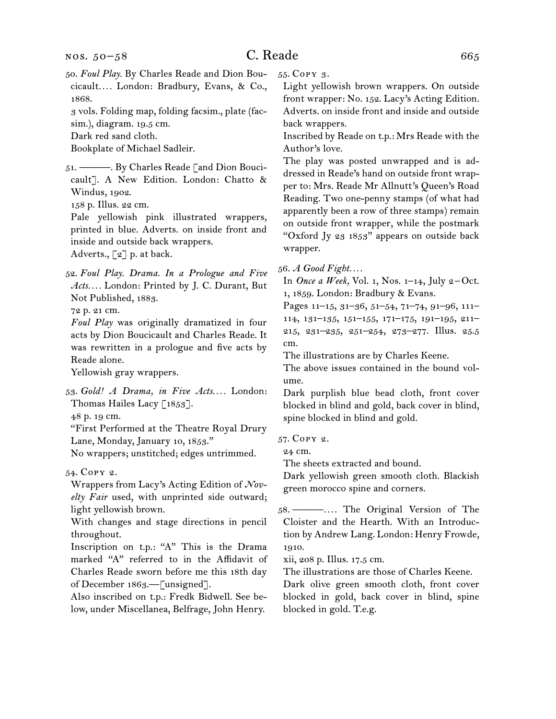50. *Foul Play.* By Charles Reade and Dion Boucicault*. . . .* London: Bradbury, Evans, & Co., 1868.

3 vols. Folding map, folding facsim., plate (facsim.), diagram. 19.5 cm.

Dark red sand cloth.

Bookplate of Michael Sadleir.

51. ———. By Charles Reade [and Dion Boucicault]. A New Edition. London: Chatto & Windus, 1902.

158 p. Illus. 22 cm.

Pale yellowish pink illustrated wrappers, printed in blue. Adverts. on inside front and inside and outside back wrappers.

Adverts., [2] p. at back.

52. *Foul Play. Drama. In a Prologue and Five Acts. . . .* London: Printed by J. C. Durant, But Not Published, 1883.

72 p. 21 cm.

*Foul Play* was originally dramatized in four acts by Dion Boucicault and Charles Reade. It was rewritten in a prologue and five acts by Reade alone.

Yellowish gray wrappers.

53. *Gold! A Drama, in Five Acts. . . .* London: Thomas Hailes Lacy [1853].

48 p. 19 cm.

"First Performed at the Theatre Royal Drury Lane, Monday, January 10, 1853."

No wrappers; unstitched; edges untrimmed.

54. Copy 2.

Wrappers from Lacy's Acting Edition of *Novelty Fair* used, with unprinted side outward; light yellowish brown.

With changes and stage directions in pencil throughout.

Inscription on t.p.: "A" This is the Drama marked "A" referred to in the Affidavit of Charles Reade sworn before me this 18th day of December 1863.—[unsigned].

Also inscribed on t.p.: Fredk Bidwell. See below, under Miscellanea, Belfrage, John Henry. 55. Copy 3.

Light yellowish brown wrappers. On outside front wrapper: No. 152. Lacy's Acting Edition. Adverts. on inside front and inside and outside back wrappers.

Inscribed by Reade on t.p.: Mrs Reade with the Author's love.

The play was posted unwrapped and is addressed in Reade's hand on outside front wrapper to: Mrs. Reade Mr Allnutt's Queen's Road Reading. Two one-penny stamps (of what had apparently been a row of three stamps) remain on outside front wrapper, while the postmark "Oxford Jy 23  $1853$ " appears on outside back wrapper.

56. *A Good Fight. . . .*

In *Once a Week*, Vol. 1, Nos. 1–14, July 2–Oct. 1, 1859. London: Bradbury & Evans.

Pages 11–15, 31–36, 51–54, 71–74, 91–96, 111– 114, 131–135, 151–155, 171–175, 191–195, 211– 215, 231–235, 251–254, 273–277. Illus. 25.5 cm.

The illustrations are by Charles Keene.

The above issues contained in the bound volume.

Dark purplish blue bead cloth, front cover blocked in blind and gold, back cover in blind, spine blocked in blind and gold.

57. Copy 2.

24 cm.

The sheets extracted and bound.

Dark yellowish green smooth cloth. Blackish green morocco spine and corners.

58. ———*. . . .* The Original Version of The Cloister and the Hearth. With an Introduction by Andrew Lang. London: Henry Frowde, 1910.

xii, 208 p. Illus. 17.5 cm.

The illustrations are those of Charles Keene.

Dark olive green smooth cloth, front cover blocked in gold, back cover in blind, spine blocked in gold. T.e.g.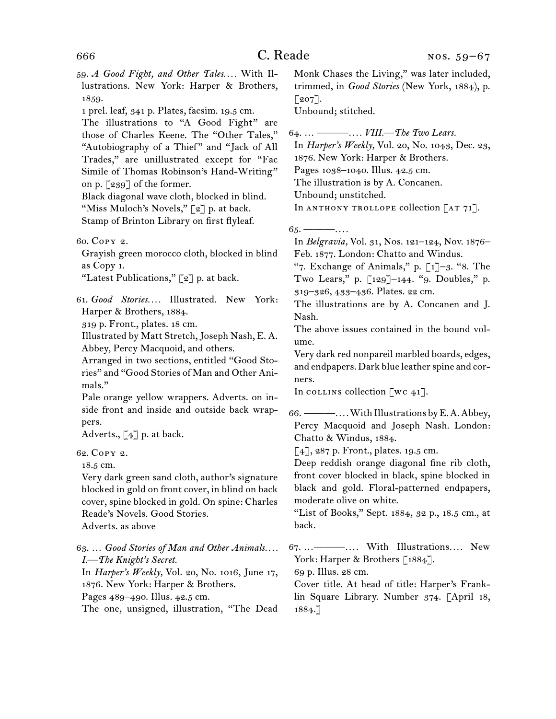59. *A Good Fight, and Other Tales. . . .* With Illustrations. New York: Harper & Brothers, 1859.

1 prel. leaf, 341 p. Plates, facsim. 19.5 cm.

The illustrations to "A Good Fight" are those of Charles Keene. The "Other Tales," "Autobiography of a Thief" and "Jack of All Trades," are unillustrated except for "Fac Simile of Thomas Robinson's Hand-Writing" on p. [239] of the former.

Black diagonal wave cloth, blocked in blind. "Miss Muloch's Novels," [2] p. at back. Stamp of Brinton Library on first flyleaf.

60. Copy 2.

Grayish green morocco cloth, blocked in blind as Copy 1.

"Latest Publications,"  $\lbrack 2 \rbrack$  p. at back.

61. *Good Stories. . . .* Illustrated. New York: Harper & Brothers, 1884.

319 p. Front., plates. 18 cm.

Illustrated by Matt Stretch, Joseph Nash, E. A. Abbey, Percy Macquoid, and others.

Arranged in two sections, entitled "Good Stories" and "Good Stories of Man and Other Animals."

Pale orange yellow wrappers. Adverts. on inside front and inside and outside back wrappers.

Adverts., [4] p. at back.

62. Copy 2.

18.5 cm.

Very dark green sand cloth, author's signature blocked in gold on front cover, in blind on back cover, spine blocked in gold. On spine: Charles Reade's Novels. Good Stories. Adverts. as above

63. … *Good Stories of Man and Other Animals. . . . I.—The Knight's Secret.*

In *Harper's Weekly,* Vol. 20, No. 1016, June 17, 1876. New York: Harper & Brothers.

Pages 489–490. Illus. 42.5 cm.

The one, unsigned, illustration, "The Dead

Monk Chases the Living," was later included, trimmed, in *Good Stories* (New York, 1884), p.  $\lceil 207 \rceil$ .

Unbound; stitched.

64. … ———*. . . . VIII.—The Two Lears.* In *Harper's Weekly,* Vol. 20, No. 1043, Dec. 23, 1876. New York: Harper & Brothers. Pages 1038–1040. Illus. 42.5 cm. The illustration is by A. Concanen. Unbound; unstitched. In ANTHONY TROLLOPE collection  $[AT 71]$ .

65. ———*. . . .* In *Belgravia,* Vol. 31, Nos. 121–124, Nov. 1876– Feb. 1877. London: Chatto and Windus.

"7. Exchange of Animals," p.  $\lceil 1 \rceil - 3$ . "8. The Two Lears," p. [129]–144. "9. Doubles," p. 319–326, 433–436. Plates. 22 cm.

The illustrations are by A. Concanen and J. Nash.

The above issues contained in the bound volume.

Very dark red nonpareil marbled boards, edges, and endpapers. Dark blue leather spine and corners.

In collins collection  $[\n\overline{\n\vee} \ncap]$ .

66. ———*. . . .* With Illustrations by E. A. Abbey, Percy Macquoid and Joseph Nash. London: Chatto & Windus, 1884.

 $\lceil 4 \rceil$ , 287 p. Front., plates. 19.5 cm.

Deep reddish orange diagonal fine rib cloth, front cover blocked in black, spine blocked in black and gold. Floral-patterned endpapers, moderate olive on white.

"List of Books," Sept. 1884, 32 p., 18.5 cm., at back.

67. …———*. . . .* With Illustrations*. . . .* New York: Harper & Brothers [1884].

69 p. Illus. 28 cm.

Cover title. At head of title: Harper's Franklin Square Library. Number 374. [April 18, 1884.]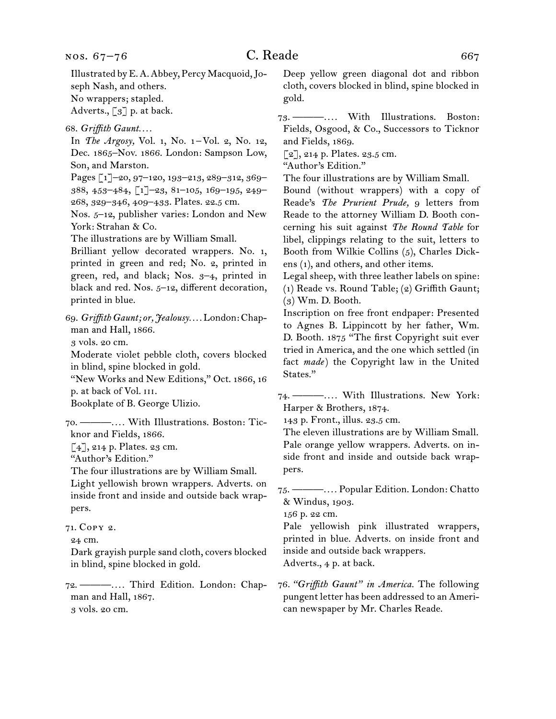68. *Griffith Gaunt. . . .*

In *The Argosy,* Vol. 1, No. 1–Vol. 2, No. 12, Dec. 1865–Nov. 1866. London: Sampson Low, Son, and Marston.

Pages [1]–20, 97–120, 193–213, 289–312, 369– 388, 453–484, [1]–23, 81–105, 169–195, 249– 268, 329–346, 409–433. Plates. 22.5 cm.

Nos. 5–12, publisher varies: London and New York: Strahan & Co.

The illustrations are by William Small.

Brilliant yellow decorated wrappers. No. 1, printed in green and red; No. 2, printed in green, red, and black; Nos. 3–4, printed in black and red. Nos. 5–12, different decoration, printed in blue.

69. *Griffith Gaunt; or, Jealousy. . . .* London: Chapman and Hall, 1866.

3 vols. 20 cm.

Moderate violet pebble cloth, covers blocked in blind, spine blocked in gold.

"New Works and New Editions," Oct. 1866, 16 p. at back of Vol. iii.

Bookplate of B. George Ulizio.

70. ———*. . . .* With Illustrations. Boston: Ticknor and Fields, 1866.

 $[4]$ , 214 p. Plates. 23 cm.

"Author's Edition."

The four illustrations are by William Small.

Light yellowish brown wrappers. Adverts. on inside front and inside and outside back wrappers.

Dark grayish purple sand cloth, covers blocked in blind, spine blocked in gold.

72. ———*. . . .* Third Edition. London: Chapman and Hall, 1867. 3 vols. 20 cm.

Deep yellow green diagonal dot and ribbon cloth, covers blocked in blind, spine blocked in gold.

73. ———*. . . .* With Illustrations. Boston: Fields, Osgood, & Co., Successors to Ticknor and Fields, 1869.

 $\lceil 2 \rceil$ , 214 p. Plates. 23.5 cm.

"Author's Edition."

The four illustrations are by William Small.

Bound (without wrappers) with a copy of Reade's *The Prurient Prude,* 9 letters from Reade to the attorney William D. Booth concerning his suit against *The Round Table* for libel, clippings relating to the suit, letters to Booth from Wilkie Collins (5), Charles Dickens (1), and others, and other items.

Legal sheep, with three leather labels on spine: (1) Reade vs. Round Table; (2) Griffith Gaunt; (3) Wm. D. Booth.

Inscription on free front endpaper: Presented to Agnes B. Lippincott by her father, Wm. D. Booth. 1875 "The first Copyright suit ever tried in America, and the one which settled (in fact *made*) the Copyright law in the United States."

74. ———*. . . .* With Illustrations. New York: Harper & Brothers, 1874.

143 p. Front., illus. 23.5 cm.

The eleven illustrations are by William Small. Pale orange yellow wrappers. Adverts. on inside front and inside and outside back wrappers.

75. ———*. . . .* Popular Edition. London: Chatto & Windus, 1903.

156 p. 22 cm.

Pale yellowish pink illustrated wrappers, printed in blue. Adverts. on inside front and inside and outside back wrappers. Adverts., 4 p. at back.

76. *"Griffith Gaunt" in America.* The following pungent letter has been addressed to an American newspaper by Mr. Charles Reade.

<sup>71.</sup> Copy 2.

<sup>24</sup> cm.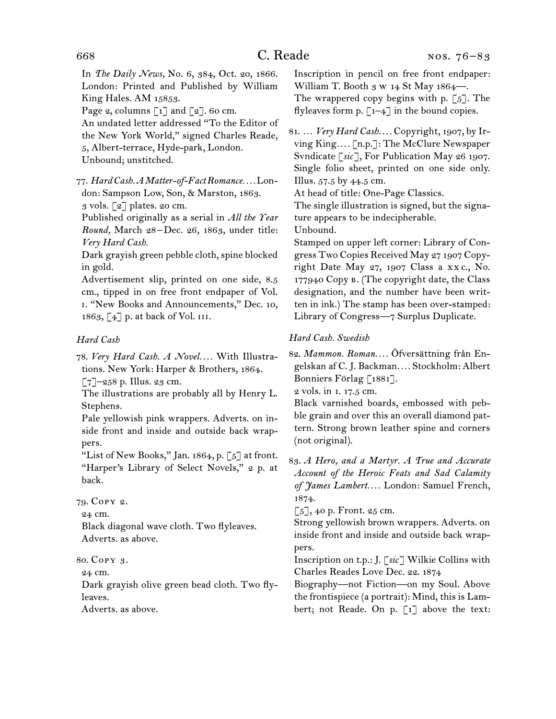In *The Daily News,* No. 6, 384, Oct. 20, 1866. London: Printed and Published by William King Hales. AM 15853.

Page 2, columns  $\lceil 1 \rceil$  and  $\lceil 2 \rceil$ . 60 cm.

An undated letter addressed "To the Editor of the New York World," signed Charles Reade, 5, Albert-terrace, Hyde-park, London.

Unbound; unstitched.

77. *Hard Cash. A Matter-of-Fact Romance. . . .* London: Sampson Low, Son, & Marston, 1863. 3 vols. [2] plates. 20 cm.

Published originally as a serial in *All the Year Round,* March 28 –Dec. 26, 1863, under title: *Very Hard Cash.*

Dark grayish green pebble cloth, spine blocked in gold.

Advertisement slip, printed on one side, 8.5 cm., tipped in on free front endpaper of Vol. i. "New Books and Announcements," Dec. 10, 1863, [4] p. at back of Vol. iii.

### *Hard Cash*

78. *Very Hard Cash. A Novel. . . .* With Illustrations. New York: Harper & Brothers, 1864.

 $[7]$ –258 p. Illus. 23 cm.

The illustrations are probably all by Henry L. Stephens.

Pale yellowish pink wrappers. Adverts. on inside front and inside and outside back wrappers.

"List of New Books," Jan. 1864, p. [5] at front. "Harper's Library of Select Novels," 2 p. at back.

## 79. Copy 2.

24 cm.

Black diagonal wave cloth. Two flyleaves. Adverts. as above.

#### 80. Copy 3.

24 cm.

Dark grayish olive green bead cloth. Two flyleaves.

Adverts. as above.

Inscription in pencil on free front endpaper: William T. Booth 3 w 14 St May 1864-The wrappered copy begins with p.  $[5]$ . The

flyleaves form p.  $\lceil 1-4 \rceil$  in the bound copies.

81. … *Very Hard Cash. . . .* Copyright, 1907, by Irving King*. . . .* [n.p.]: The McClure Newspaper Svndicate [*sic*], For Publication May 26 1907. Single folio sheet, printed on one side only. Illus. 57.5 by 44.5 cm.

At head of title: One-Page Classics.

The single illustration is signed, but the signature appears to be indecipherable.

Unbound.

Stamped on upper left corner: Library of Congress Two Copies Received May 27 1907 Copyright Date May 27, 1907 Class a xx c., No. 177940 Copy B. (The copyright date, the Class designation, and the number have been written in ink.) The stamp has been over-stamped: Library of Congress—7 Surplus Duplicate.

### *Hard Cash. Swedish*

82. *Mammon. Roman. . . .* Öfversättning från Engelskan af C. J. Backman*. . . .* Stockholm: Albert Bonniers Förlag [1881].

2 vols. in 1. 17.5 cm.

Black varnished boards, embossed with pebble grain and over this an overall diamond pattern. Strong brown leather spine and corners (not original).

83. *A Hero, and a Martyr. A True and Accurate Account of the Heroic Feats and Sad Calamity of James Lambert. . . .* London: Samuel French, 1874.

 $\lceil 5 \rceil$ , 40 p. Front. 25 cm.

Strong yellowish brown wrappers. Adverts. on inside front and inside and outside back wrappers.

Inscription on t.p.: J. [*sic*] Wilkie Collins with Charles Reades Love Dec. 22. 1874

Biography—not Fiction—on my Soul. Above the frontispiece (a portrait): Mind, this is Lambert; not Reade. On p. [1] above the text: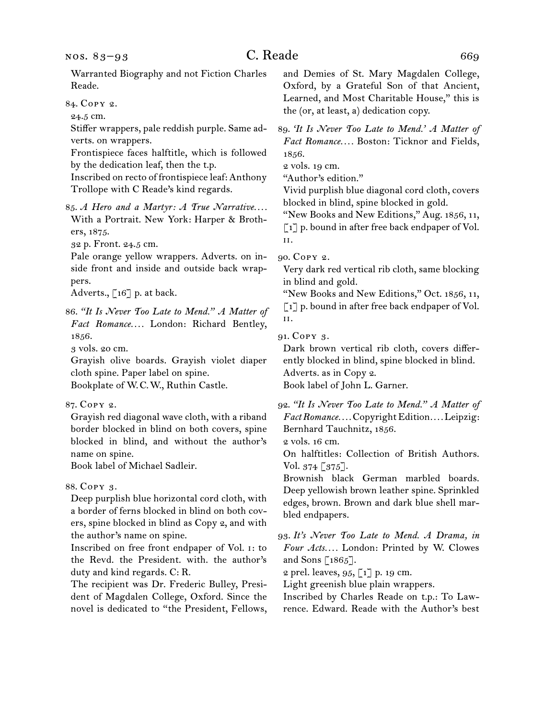84. Copy 2.

24.5 cm.

Stiffer wrappers, pale reddish purple. Same adverts. on wrappers.

Frontispiece faces halftitle, which is followed by the dedication leaf, then the t.p.

Inscribed on recto of frontispiece leaf: Anthony Trollope with C Reade's kind regards.

85. *A Hero and a Martyr: A True Narrative. . . .* With a Portrait. New York: Harper & Brothers, 1875.

32 p. Front. 24.5 cm.

Pale orange yellow wrappers. Adverts. on inside front and inside and outside back wrappers.

Adverts., [16] p. at back.

86. *"It Is Never Too Late to Mend." A Matter of Fact Romance. . . .* London: Richard Bentley, 1856.

3 vols. 20 cm.

Grayish olive boards. Grayish violet diaper cloth spine. Paper label on spine.

Bookplate of W.C.W., Ruthin Castle.

87. Copy 2.

Grayish red diagonal wave cloth, with a riband border blocked in blind on both covers, spine blocked in blind, and without the author's name on spine.

Book label of Michael Sadleir.

#### 88. Copy 3.

Deep purplish blue horizontal cord cloth, with a border of ferns blocked in blind on both covers, spine blocked in blind as Copy 2, and with the author's name on spine.

Inscribed on free front endpaper of Vol. i: to the Revd. the President. with. the author's duty and kind regards. C: R.

The recipient was Dr. Frederic Bulley, President of Magdalen College, Oxford. Since the novel is dedicated to "the President, Fellows, and Demies of St. Mary Magdalen College, Oxford, by a Grateful Son of that Ancient, Learned, and Most Charitable House," this is the (or, at least, a) dedication copy.

89. *'It Is Never Too Late to Mend.' A Matter of Fact Romance. . . .* Boston: Ticknor and Fields, 1856.

2 vols. 19 cm.

"Author's edition."

Vivid purplish blue diagonal cord cloth, covers blocked in blind, spine blocked in gold.

"New Books and New Editions," Aug. 1856, 11,  $\lceil 1 \rceil$  p. bound in after free back endpaper of Vol. ii.

90. Copy 2.

Very dark red vertical rib cloth, same blocking in blind and gold.

"New Books and New Editions," Oct. 1856, 11, [1] p. bound in after free back endpaper of Vol. ii.

91. Copy 3.

Dark brown vertical rib cloth, covers differently blocked in blind, spine blocked in blind. Adverts. as in Copy 2. Book label of John L. Garner.

92. *"It Is Never Too Late to Mend." A Matter of Fact Romance. . . .* Copyright Edition*. . . .* Leipzig: Bernhard Tauchnitz, 1856.

2 vols. 16 cm.

On halftitles: Collection of British Authors. Vol. 374 [375].

Brownish black German marbled boards. Deep yellowish brown leather spine. Sprinkled edges, brown. Brown and dark blue shell marbled endpapers.

93. *It's Never Too Late to Mend. A Drama, in Four Acts. . . .* London: Printed by W. Clowes and Sons [1865].

2 prel. leaves, 95, [1] p. 19 cm.

Light greenish blue plain wrappers.

Inscribed by Charles Reade on t.p.: To Lawrence. Edward. Reade with the Author's best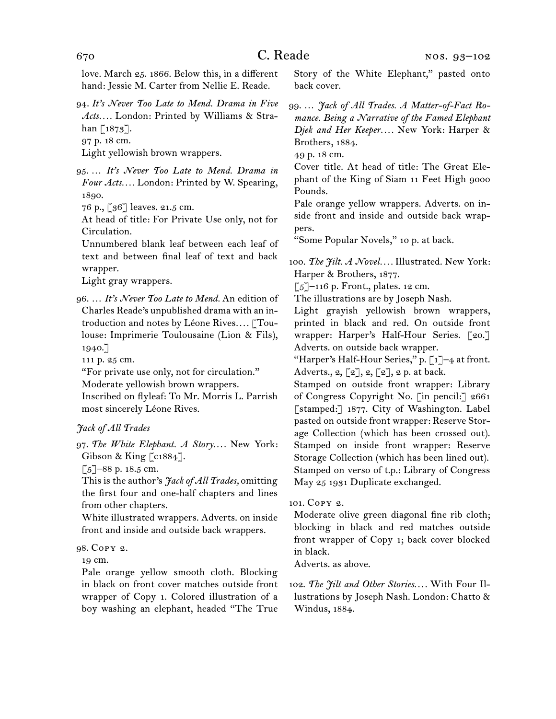love. March 25. 1866. Below this, in a different hand: Jessie M. Carter from Nellie E. Reade.

- 94. *It's Never Too Late to Mend. Drama in Five Acts. . . .* London: Printed by Williams & Strahan  $\lceil 1873 \rceil$ .
- 97 p. 18 cm.

Light yellowish brown wrappers.

95. … *It's Never Too Late to Mend. Drama in Four Acts. . . .* London: Printed by W. Spearing, 1890.

76 p., [36] leaves. 21.5 cm.

At head of title: For Private Use only, not for Circulation.

Unnumbered blank leaf between each leaf of text and between final leaf of text and back wrapper.

Light gray wrappers.

96. … *It's Never Too Late to Mend.* An edition of Charles Reade's unpublished drama with an introduction and notes by Léone Rives*. . . .* [Toulouse: Imprimerie Toulousaine (Lion & Fils), 1940.]

111 p. 25 cm.

"For private use only, not for circulation."

Moderate yellowish brown wrappers.

Inscribed on flyleaf: To Mr. Morris L. Parrish most sincerely Léone Rives.

### *Jack of All Trades*

97. *The White Elephant. A Story. . . .* New York: Gibson & King [c1884].

 $\lceil 5 \rceil$ –88 p. 18.5 cm.

This is the author's *Jack of All Trades,* omitting the first four and one-half chapters and lines from other chapters.

White illustrated wrappers. Adverts. on inside front and inside and outside back wrappers.

#### 98. Copy 2.

19 cm.

Pale orange yellow smooth cloth. Blocking in black on front cover matches outside front wrapper of Copy 1. Colored illustration of a boy washing an elephant, headed "The True

Story of the White Elephant," pasted onto back cover.

99. … *Jack of All Trades. A Matter-of-Fact Romance. Being a Narrative of the Famed Elephant Djek and Her Keeper. . . .* New York: Harper & Brothers, 1884.

49 p. 18 cm.

Cover title. At head of title: The Great Elephant of the King of Siam 11 Feet High 9000 Pounds.

Pale orange yellow wrappers. Adverts. on inside front and inside and outside back wrappers.

"Some Popular Novels," 10 p. at back.

100. *The Jilt. A Novel. . . .* Illustrated. New York: Harper & Brothers, 1877.

 $\lceil 5 \rceil$ –116 p. Front., plates. 12 cm.

The illustrations are by Joseph Nash.

Light grayish yellowish brown wrappers, printed in black and red. On outside front wrapper: Harper's Half-Hour Series. [20.] Adverts. on outside back wrapper.

"Harper's Half-Hour Series," p. [1]-4 at front. Adverts.,  $2, \lfloor 2 \rfloor, 2, \lfloor 2 \rfloor, 2$  p. at back.

Stamped on outside front wrapper: Library of Congress Copyright No. [in pencil:] 2661 [stamped:] 1877. City of Washington. Label pasted on outside front wrapper: Reserve Storage Collection (which has been crossed out). Stamped on inside front wrapper: Reserve Storage Collection (which has been lined out). Stamped on verso of t.p.: Library of Congress May 25 1931 Duplicate exchanged.

#### 101. Copy 2.

Moderate olive green diagonal fine rib cloth; blocking in black and red matches outside front wrapper of Copy 1; back cover blocked in black.

Adverts. as above.

102. *The Jilt and Other Stories. . . .* With Four Illustrations by Joseph Nash. London: Chatto & Windus, 1884.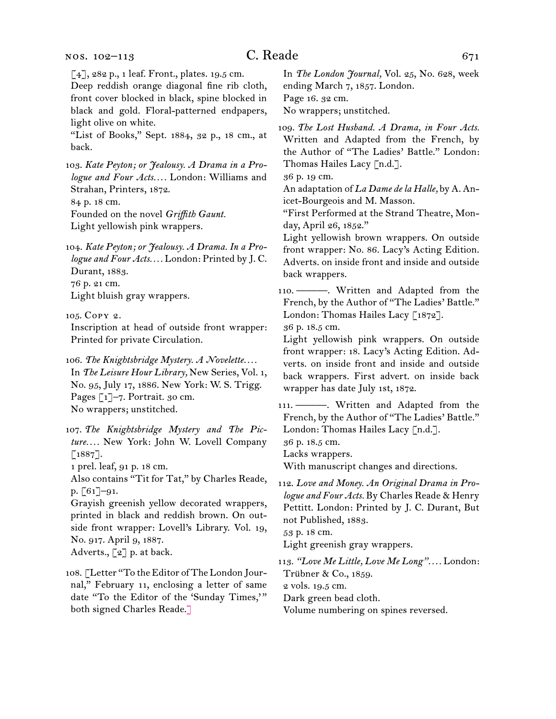#### nos. 102–113

# $C.$  Reade 671

[4], 282 p., 1 leaf. Front., plates. 19.5 cm.

Deep reddish orange diagonal fine rib cloth, front cover blocked in black, spine blocked in black and gold. Floral-patterned endpapers, light olive on white.

"List of Books," Sept. 1884, 32 p., 18 cm., at back.

103. *Kate Peyton; or Jealousy. A Drama in a Prologue and Four Acts. . . .* London: Williams and Strahan, Printers, 1872.

84 p. 18 cm.

Founded on the novel *Griffith Gaunt.* Light yellowish pink wrappers.

104. *Kate Peyton; or Jealousy. A Drama. In a Prologue and Four Acts. . . .* London: Printed by J. C. Durant, 1883. 76 p. 21 cm. Light bluish gray wrappers.

105. Copy 2.

Inscription at head of outside front wrapper: Printed for private Circulation.

106. *The Knightsbridge Mystery. A Novelette. . . .* In *The Leisure Hour Library,* New Series, Vol. 1, No. 95, July 17, 1886. New York: W. S. Trigg. Pages [1]–7. Portrait. 30 cm. No wrappers; unstitched.

107. *The Knightsbridge Mystery and The Picture. . . .* New York: John W. Lovell Company [1887].

1 prel. leaf, 91 p. 18 cm.

Also contains "Tit for Tat," by Charles Reade, p. [61]–91.

Grayish greenish yellow decorated wrappers, printed in black and reddish brown. On outside front wrapper: Lovell's Library. Vol. 19, No. 917. April 9, 1887. Adverts., [2] p. at back.

108. [Letter "To the Editor of The London Jour-

nal," February 11, enclosing a letter of same date "To the Editor of the 'Sunday Times,'" both signed Charles Reade.]

In *The London Journal,* Vol. 25, No. 628, week ending March 7, 1857. London. Page 16. 32 cm.

No wrappers; unstitched.

109. *The Lost Husband. A Drama, in Four Acts.* Written and Adapted from the French, by the Author of "The Ladies' Battle." London: Thomas Hailes Lacy [n.d.].

36 p. 19 cm.

An adaptation of *La Dame de la Halle,* by A. Anicet-Bourgeois and M. Masson.

"First Performed at the Strand Theatre, Monday, April 26, 1852."

Light yellowish brown wrappers. On outside front wrapper: No. 86. Lacy's Acting Edition. Adverts. on inside front and inside and outside back wrappers.

110. ———. Written and Adapted from the French, by the Author of "The Ladies' Battle." London: Thomas Hailes Lacy [1872].

36 p. 18.5 cm.

Light yellowish pink wrappers. On outside front wrapper: 18. Lacy's Acting Edition. Adverts. on inside front and inside and outside back wrappers. First advert. on inside back wrapper has date July 1st, 1872.

111. ———. Written and Adapted from the French, by the Author of "The Ladies' Battle." London: Thomas Hailes Lacy [n.d.].

36 p. 18.5 cm.

Lacks wrappers.

With manuscript changes and directions.

112. *Love and Money. An Original Drama in Prologue and Four Acts.* By Charles Reade & Henry Pettitt. London: Printed by J. C. Durant, But not Published, 1883.

53 p. 18 cm.

Light greenish gray wrappers.

113. *"Love Me Little, Love Me Long". . . .* London: Trübner & Co., 1859. 2 vols. 19.5 cm.

Dark green bead cloth.

Volume numbering on spines reversed.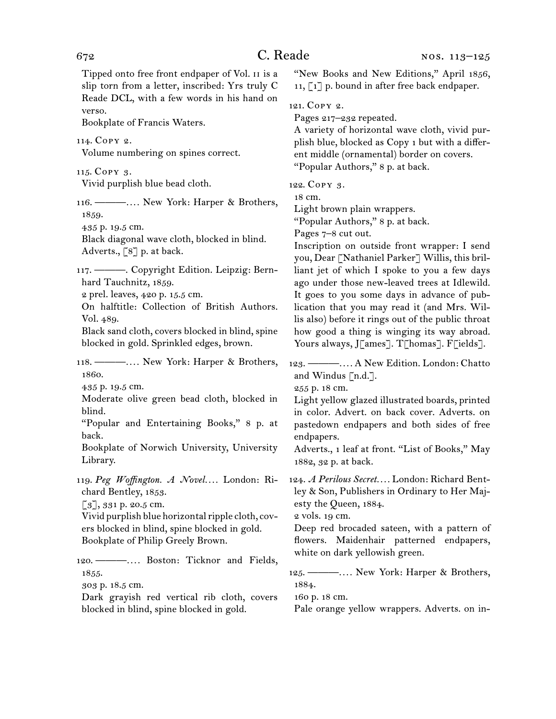Tipped onto free front endpaper of Vol. ii is a slip torn from a letter, inscribed: Yrs truly C Reade DCL, with a few words in his hand on verso.

Bookplate of Francis Waters.

114. Copy 2.

Volume numbering on spines correct.

115. Copy 3.

Vivid purplish blue bead cloth.

116. ———*. . . .* New York: Harper & Brothers, 1859.

435 p. 19.5 cm.

Black diagonal wave cloth, blocked in blind. Adverts.,  $\begin{bmatrix} 8 \end{bmatrix}$  p. at back.

117. ———. Copyright Edition. Leipzig: Bernhard Tauchnitz, 1859.

2 prel. leaves, 420 p. 15.5 cm.

On halftitle: Collection of British Authors. Vol. 489.

Black sand cloth, covers blocked in blind, spine blocked in gold. Sprinkled edges, brown.

118. ———*. . . .* New York: Harper & Brothers, 1860.

435 p. 19.5 cm.

Moderate olive green bead cloth, blocked in blind.

"Popular and Entertaining Books," 8 p. at back.

Bookplate of Norwich University, University Library.

119. *Peg Woffington. A Novel. . . .* London: Richard Bentley, 1853.

[3], 331 p. 20.5 cm.

Vivid purplish blue horizontal ripple cloth, covers blocked in blind, spine blocked in gold. Bookplate of Philip Greely Brown.

120. ———*. . . .* Boston: Ticknor and Fields, 1855.

303 p. 18.5 cm.

Dark grayish red vertical rib cloth, covers blocked in blind, spine blocked in gold.

"New Books and New Editions," April 1856, 11, [1] p. bound in after free back endpaper.

121. Copy 2.

Pages 217–232 repeated.

A variety of horizontal wave cloth, vivid purplish blue, blocked as Copy 1 but with a different middle (ornamental) border on covers. "Popular Authors," 8 p. at back.

122. Copy 3.

18 cm.

Light brown plain wrappers.

"Popular Authors," 8 p. at back.

Pages 7–8 cut out.

Inscription on outside front wrapper: I send you, Dear [Nathaniel Parker] Willis, this brilliant jet of which I spoke to you a few days ago under those new-leaved trees at Idlewild. It goes to you some days in advance of publication that you may read it (and Mrs. Willis also) before it rings out of the public throat how good a thing is winging its way abroad. Yours always, J[ames]. T[homas]. F[ields].

123. ———*. . . .* A New Edition. London: Chatto and Windus [n.d.].

255 p. 18 cm.

Light yellow glazed illustrated boards, printed in color. Advert. on back cover. Adverts. on pastedown endpapers and both sides of free endpapers.

Adverts., 1 leaf at front. "List of Books," May 1882, 32 p. at back.

124. *A Perilous Secret. . . .* London: Richard Bentley & Son, Publishers in Ordinary to Her Majesty the Queen, 1884.

2 vols. 19 cm.

Deep red brocaded sateen, with a pattern of flowers. Maidenhair patterned endpapers, white on dark yellowish green.

125. ———*. . . .* New York: Harper & Brothers, 1884.

160 p. 18 cm.

Pale orange yellow wrappers. Adverts. on in-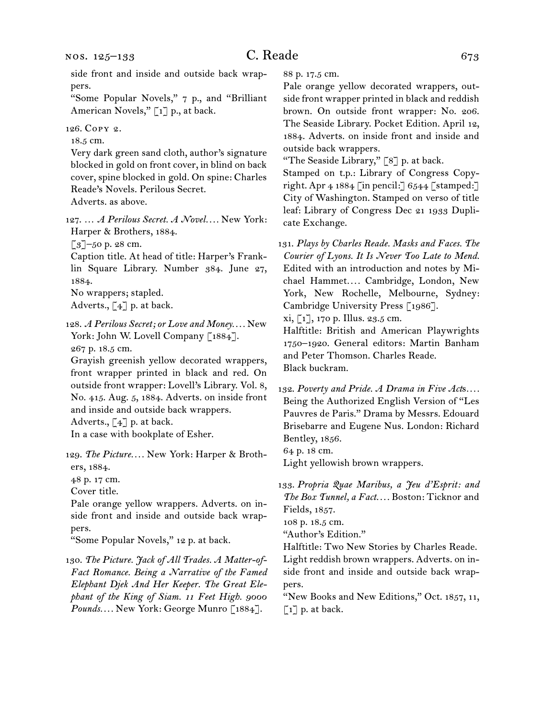side front and inside and outside back wrappers.

"Some Popular Novels," 7 p., and "Brilliant American Novels," [1] p., at back.

126. Copy 2.

18.5 cm.

Very dark green sand cloth, author's signature blocked in gold on front cover, in blind on back cover, spine blocked in gold. On spine: Charles Reade's Novels. Perilous Secret.

Adverts. as above.

127. … *A Perilous Secret. A Novel. . . .* New York: Harper & Brothers, 1884.

[3]–50 p. 28 cm.

Caption title. At head of title: Harper's Franklin Square Library. Number 384. June 27, 1884.

No wrappers; stapled.

Adverts.,  $\lceil 4 \rceil$  p. at back.

128. *A Perilous Secret; or Love and Money. . . .* New York: John W. Lovell Company [1884]. 267 p. 18.5 cm.

Grayish greenish yellow decorated wrappers, front wrapper printed in black and red. On outside front wrapper: Lovell's Library. Vol. 8, No. 415. Aug. 5, 1884. Adverts. on inside front and inside and outside back wrappers.

Adverts.,  $\lceil 4 \rceil$  p. at back.

In a case with bookplate of Esher.

129. *The Picture. . . .* New York: Harper & Brothers, 1884.

48 p. 17 cm.

Cover title.

Pale orange yellow wrappers. Adverts. on inside front and inside and outside back wrappers.

"Some Popular Novels," 12 p. at back.

130. *The Picture. Jack of All Trades. A Matter-of-Fact Romance. Being a Narrative of the Famed Elephant Djek And Her Keeper. The Great Elephant of the King of Siam. 11 Feet High. 9000 Pounds. . . .* New York: George Munro [1884].

88 p. 17.5 cm.

Pale orange yellow decorated wrappers, outside front wrapper printed in black and reddish brown. On outside front wrapper: No. 206. The Seaside Library. Pocket Edition. April 12, 1884. Adverts. on inside front and inside and outside back wrappers.

"The Seaside Library,"  $\lceil 8 \rceil$  p. at back.

Stamped on t.p.: Library of Congress Copyright. Apr  $4\,1884$  [in pencil:] 6544 [stamped:] City of Washington. Stamped on verso of title leaf: Library of Congress Dec 21 1933 Duplicate Exchange.

131. *Plays by Charles Reade. Masks and Faces. The Courier of Lyons. It Is Never Too Late to Mend.* Edited with an introduction and notes by Michael Hammet*. . . .* Cambridge, London, New York, New Rochelle, Melbourne, Sydney: Cambridge University Press [1986].

 $xi, [1]$ , 170 p. Illus. 23.5 cm.

Halftitle: British and American Playwrights 1750–1920. General editors: Martin Banham and Peter Thomson. Charles Reade. Black buckram.

132. *Poverty and Pride. A Drama in Five Act*s*. . . .* Being the Authorized English Version of "Les Pauvres de Paris." Drama by Messrs. Edouard Brisebarre and Eugene Nus. London: Richard Bentley, 1856. 64 p. 18 cm.

Light yellowish brown wrappers.

133. *Propria Quae Maribus, a Jeu d'Esprit: and The Box Tunnel, a Fact. . . .* Boston: Ticknor and Fields, 1857. 108 p. 18.5 cm.

"Author's Edition."

Halftitle: Two New Stories by Charles Reade. Light reddish brown wrappers. Adverts. on inside front and inside and outside back wrappers.

"New Books and New Editions," Oct. 1857, 11,  $\left[\begin{matrix}1\end{matrix}\right]$  p. at back.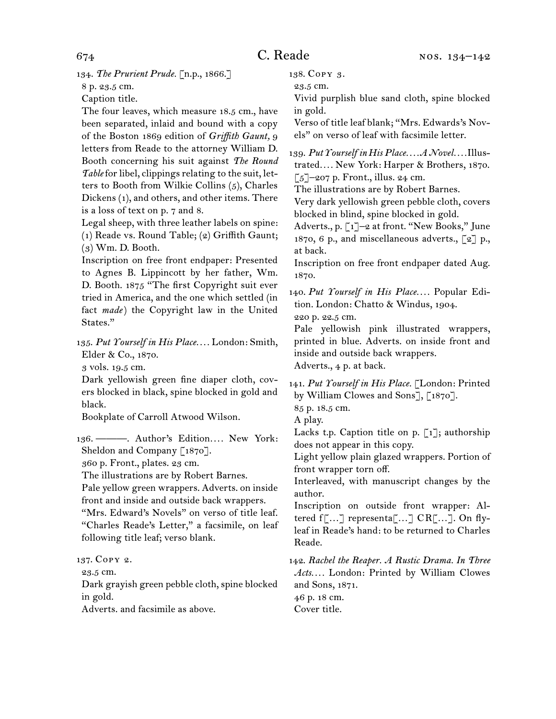134. *The Prurient Prude.* [n.p., 1866.]

8 p. 23.5 cm.

Caption title.

The four leaves, which measure 18.5 cm., have been separated, inlaid and bound with a copy of the Boston 1869 edition of *Griffith Gaunt,* 9 letters from Reade to the attorney William D. Booth concerning his suit against *The Round Table* for libel, clippings relating to the suit, letters to Booth from Wilkie Collins (5), Charles Dickens (1), and others, and other items. There is a loss of text on p. 7 and 8.

Legal sheep, with three leather labels on spine: (1) Reade vs. Round Table; (2) Griffith Gaunt; (3) Wm. D. Booth.

Inscription on free front endpaper: Presented to Agnes B. Lippincott by her father, Wm. D. Booth. 1875 "The first Copyright suit ever tried in America, and the one which settled (in fact *made*) the Copyright law in the United States."

135. *Put Yourself in His Place. . . .* London: Smith, Elder & Co., 1870.

3 vols. 19.5 cm.

Dark yellowish green fine diaper cloth, covers blocked in black, spine blocked in gold and black.

Bookplate of Carroll Atwood Wilson.

136. ———. Author's Edition.... New York: Sheldon and Company [1870].

360 p. Front., plates. 23 cm.

The illustrations are by Robert Barnes.

Pale yellow green wrappers. Adverts. on inside front and inside and outside back wrappers. "Mrs. Edward's Novels" on verso of title leaf. "Charles Reade's Letter," a facsimile, on leaf following title leaf; verso blank.

137. Copy 2.

23.5 cm.

Dark grayish green pebble cloth, spine blocked in gold.

Adverts. and facsimile as above.

138. Copy 3.

23.5 cm.

Vivid purplish blue sand cloth, spine blocked in gold.

Verso of title leaf blank; "Mrs. Edwards's Novels" on verso of leaf with facsimile letter.

139. *Put Yourself in His Place. . . . A Novel. . . .* Illustrated*. . . .* New York: Harper & Brothers, 1870.  $\lceil 5 \rceil$ –207 p. Front., illus. 24 cm.

The illustrations are by Robert Barnes.

Very dark yellowish green pebble cloth, covers blocked in blind, spine blocked in gold.

Adverts., p. [1]–2 at front. "New Books," June 1870, 6 p., and miscellaneous adverts., [2] p., at back.

Inscription on free front endpaper dated Aug. 1870.

140. *Put Yourself in His Place. . . .* Popular Edition. London: Chatto & Windus, 1904. 220 p. 22.5 cm.

Pale yellowish pink illustrated wrappers, printed in blue. Adverts. on inside front and inside and outside back wrappers. Adverts., 4 p. at back.

141. *Put Yourself in His Place.* [London: Printed by William Clowes and Sons], [1870].

85 p. 18.5 cm.

A play.

Lacks t.p. Caption title on p.  $\lceil 1 \rceil$ ; authorship does not appear in this copy.

Light yellow plain glazed wrappers. Portion of front wrapper torn off.

Interleaved, with manuscript changes by the author.

Inscription on outside front wrapper: Altered f[…] representa[…] CR[…]. On flyleaf in Reade's hand: to be returned to Charles Reade.

142. *Rachel the Reaper. A Rustic Drama. In Three Acts. . . .* London: Printed by William Clowes and Sons, 1871.

46 p. 18 cm. Cover title.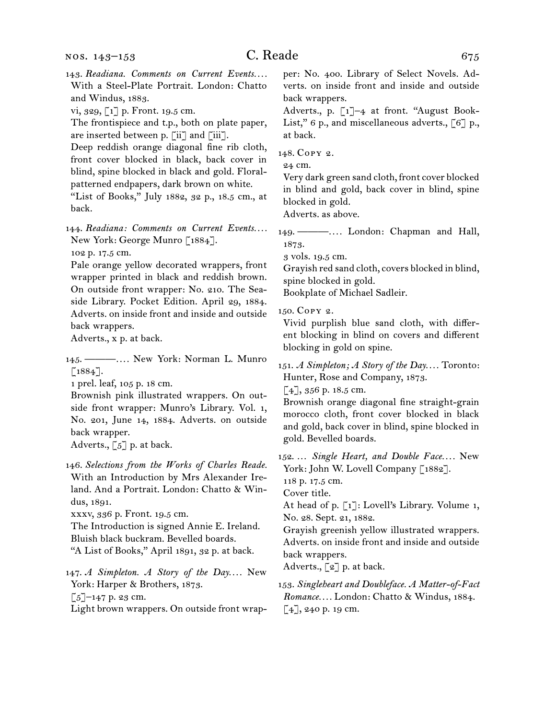- 143. Readiana. Comments on Current Events.... With a Steel-Plate Portrait. London: Chatto and Windus, 1883.
- vi, 329, [1] p. Front. 19.5 cm.

The frontispiece and t.p., both on plate paper, are inserted between p. [ii] and [iii].

Deep reddish orange diagonal fine rib cloth, front cover blocked in black, back cover in blind, spine blocked in black and gold. Floralpatterned endpapers, dark brown on white.

"List of Books," July 1882, 32 p., 18.5 cm., at back.

144. Readiana: Comments on Current Events.... New York: George Munro [1884].

102 p. 17.5 cm.

Pale orange yellow decorated wrappers, front wrapper printed in black and reddish brown. On outside front wrapper: No. 210. The Seaside Library. Pocket Edition. April 29, 1884. Adverts. on inside front and inside and outside back wrappers.

Adverts., x p. at back.

145. ———*. . . .* New York: Norman L. Munro  $[1884]$ .

1 prel. leaf, 105 p. 18 cm.

Brownish pink illustrated wrappers. On outside front wrapper: Munro's Library. Vol. 1, No. 201, June 14, 1884. Adverts. on outside back wrapper.

Adverts.,  $\lceil 5 \rceil$  p. at back.

146. *Selections from the Works of Charles Reade.* With an Introduction by Mrs Alexander Ireland. And a Portrait. London: Chatto & Windus, 1891.

xxxv, 336 p. Front. 19.5 cm.

The Introduction is signed Annie E. Ireland. Bluish black buckram. Bevelled boards. "A List of Books," April 1891, 32 p. at back.

147. *A Simpleton. A Story of the Day....* New York: Harper & Brothers, 1873.  $[5]$ –147 p. 23 cm.

Light brown wrappers. On outside front wrap-

per: No. 400. Library of Select Novels. Adverts. on inside front and inside and outside back wrappers.

Adverts., p. [1]–4 at front. "August Book-List," 6 p., and miscellaneous adverts., [6] p., at back.

148. Copy 2.

24 cm.

Very dark green sand cloth, front cover blocked in blind and gold, back cover in blind, spine blocked in gold.

Adverts. as above.

149. ———*. . . .* London: Chapman and Hall, 1873.

3 vols. 19.5 cm.

Grayish red sand cloth, covers blocked in blind, spine blocked in gold.

Bookplate of Michael Sadleir.

150. Copy 2.

Vivid purplish blue sand cloth, with different blocking in blind on covers and different blocking in gold on spine.

151. *A Simpleton; A Story of the Day. . . .* Toronto: Hunter, Rose and Company, 1873.

[4], 356 p. 18.5 cm.

Brownish orange diagonal fine straight-grain morocco cloth, front cover blocked in black and gold, back cover in blind, spine blocked in gold. Bevelled boards.

152. … *Single Heart, and Double Face. . . .* New York: John W. Lovell Company [1882].

118 p. 17.5 cm.

Cover title.

At head of p. [1]: Lovell's Library. Volume 1, No. 28. Sept. 21, 1882.

Grayish greenish yellow illustrated wrappers. Adverts. on inside front and inside and outside back wrappers.

Adverts.,  $\lceil 2 \rceil$  p. at back.

153. *Singleheart and Doubleface. A Matter-of-Fact Romance. . . .* London: Chatto & Windus, 1884. [4], 240 p. 19 cm.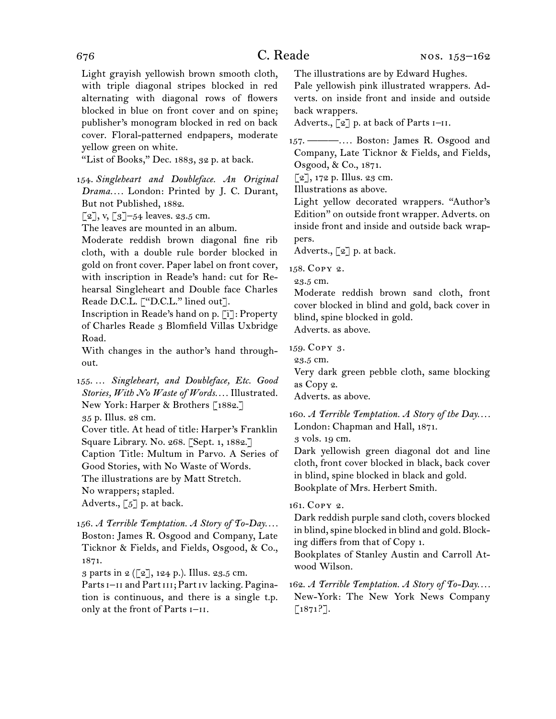Light grayish yellowish brown smooth cloth, with triple diagonal stripes blocked in red alternating with diagonal rows of flowers blocked in blue on front cover and on spine; publisher's monogram blocked in red on back cover. Floral-patterned endpapers, moderate yellow green on white.

"List of Books," Dec. 1883, 32 p. at back.

154. *Singleheart and Doubleface. An Original Drama. . . .* London: Printed by J. C. Durant, But not Published, 1882.

 $[2]$ , v,  $[3]$ -54 leaves. 23.5 cm.

The leaves are mounted in an album.

Moderate reddish brown diagonal fine rib cloth, with a double rule border blocked in gold on front cover. Paper label on front cover, with inscription in Reade's hand: cut for Rehearsal Singleheart and Double face Charles Reade D.C.L. ["D.C.L." lined out].

Inscription in Reade's hand on p. [i]: Property of Charles Reade 3 Blomfield Villas Uxbridge Road.

With changes in the author's hand throughout.

155. … *Singleheart, and Doubleface, Etc. Good Stories, With No Waste of Words. . . .* Illustrated. New York: Harper & Brothers [1882.] 35 p. Illus. 28 cm.

Cover title. At head of title: Harper's Franklin Square Library. No. 268. [Sept. 1, 1882.] Caption Title: Multum in Parvo. A Series of Good Stories, with No Waste of Words. The illustrations are by Matt Stretch. No wrappers; stapled. Adverts.,  $\lbrack 5 \rbrack$  p. at back.

156. *A Terrible Temptation. A Story of To-Day. . . .*  Boston: James R. Osgood and Company, Late Ticknor & Fields, and Fields, Osgood, & Co., 1871.

3 parts in  $2 (\lceil 2 \rceil, 124 \rceil)$ . Illus. 23.5 cm.

Parts I-II and Part III; Part IV lacking. Pagination is continuous, and there is a single t.p. only at the front of Parts  $I-II$ .

The illustrations are by Edward Hughes.

Pale yellowish pink illustrated wrappers. Adverts. on inside front and inside and outside back wrappers.

Adverts.,  $\lbrack 2 \rbrack$  p. at back of Parts  $I-II$ .

157. ———*. . . .* Boston: James R. Osgood and Company, Late Ticknor & Fields, and Fields, Osgood, & Co., 1871.

 $[2]$ , 172 p. Illus. 23 cm.

Illustrations as above.

Light yellow decorated wrappers. "Author's Edition" on outside front wrapper. Adverts. on inside front and inside and outside back wrappers.

Adverts.,  $\lceil 2 \rceil$  p. at back.

158. Copy 2.

23.5 cm.

Moderate reddish brown sand cloth, front cover blocked in blind and gold, back cover in blind, spine blocked in gold. Adverts. as above.

159. Copy 3.

23.5 cm.

Very dark green pebble cloth, same blocking as Copy 2.

Adverts. as above.

160. *A Terrible Temptation. A Story of the Day. . . .* London: Chapman and Hall, 1871.

3 vols. 19 cm.

Dark yellowish green diagonal dot and line cloth, front cover blocked in black, back cover in blind, spine blocked in black and gold. Bookplate of Mrs. Herbert Smith.

161. Copy 2.

Dark reddish purple sand cloth, covers blocked in blind, spine blocked in blind and gold. Blocking differs from that of Copy 1.

Bookplates of Stanley Austin and Carroll Atwood Wilson.

162. *A Terrible Temptation. A Story of To-Day. . . .* New-York: The New York News Company [1871?].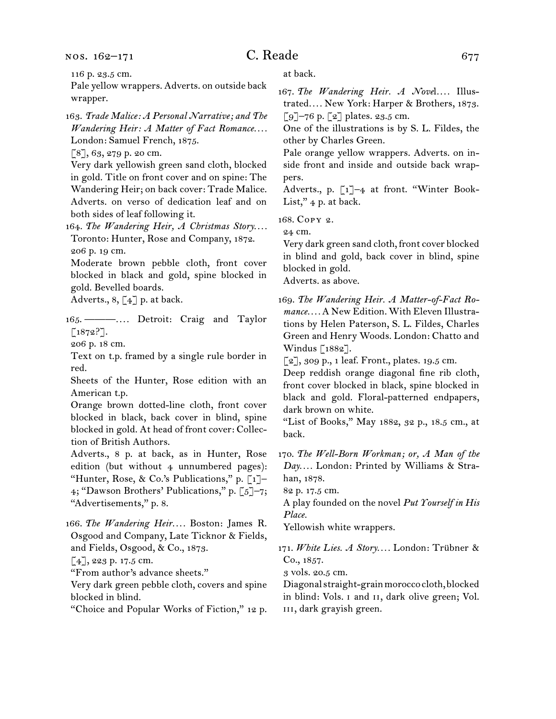# $C.$  Reade 677

116 p. 23.5 cm.

Pale yellow wrappers. Adverts. on outside back wrapper.

163. *Trade Malice: A Personal Narrative; and The Wandering Heir: A Matter of Fact Romance. . . .* London: Samuel French, 1875.

[8], 63, 279 p. 20 cm.

Very dark yellowish green sand cloth, blocked in gold. Title on front cover and on spine: The Wandering Heir; on back cover: Trade Malice. Adverts. on verso of dedication leaf and on both sides of leaf following it.

164. The Wandering Heir, A Christmas Story.... Toronto: Hunter, Rose and Company, 1872. 206 p. 19 cm.

Moderate brown pebble cloth, front cover blocked in black and gold, spine blocked in gold. Bevelled boards.

Adverts.,  $8, \lceil 4 \rceil$  p. at back.

165. ———*. . . .* Detroit: Craig and Taylor [1872?].

206 p. 18 cm.

Text on t.p. framed by a single rule border in red.

Sheets of the Hunter, Rose edition with an American t.p.

Orange brown dotted-line cloth, front cover blocked in black, back cover in blind, spine blocked in gold. At head of front cover: Collection of British Authors.

Adverts., 8 p. at back, as in Hunter, Rose edition (but without 4 unnumbered pages): "Hunter, Rose, & Co.'s Publications," p. [1]– 4; "Dawson Brothers' Publications," p. [5]–7; "Advertisements," p. 8.

166. *The Wandering Heir. . . .* Boston: James R. Osgood and Company, Late Ticknor & Fields, and Fields, Osgood, & Co., 1873.

[4], 223 p. 17.5 cm.

"From author's advance sheets."

Very dark green pebble cloth, covers and spine blocked in blind.

"Choice and Popular Works of Fiction," 12 p.

at back.

167. The Wandering Heir. A Novel.... Illustrated*. . . .* New York: Harper & Brothers, 1873.  $\lceil 9 \rceil$ –76 p.  $\lceil 2 \rceil$  plates. 23.5 cm.

One of the illustrations is by S. L. Fildes, the other by Charles Green.

Pale orange yellow wrappers. Adverts. on inside front and inside and outside back wrappers.

Adverts., p. [1]–4 at front. "Winter Book-List,"  $4$  p. at back.

168. Copy 2.

24 cm.

Very dark green sand cloth, front cover blocked in blind and gold, back cover in blind, spine blocked in gold.

Adverts. as above.

169. *The Wandering Heir. A Matter-of-Fact Romance. . . .* A New Edition. With Eleven Illustrations by Helen Paterson, S. L. Fildes, Charles Green and Henry Woods. London: Chatto and Windus [1882].

 $\lceil 2 \rceil$ , 309 p., 1 leaf. Front., plates. 19.5 cm.

Deep reddish orange diagonal fine rib cloth, front cover blocked in black, spine blocked in black and gold. Floral-patterned endpapers, dark brown on white.

"List of Books," May 1882, 32 p., 18.5 cm., at back.

170. *The Well-Born Workman; or, A Man of the Day. . . .* London: Printed by Williams & Strahan, 1878.

82 p. 17.5 cm.

A play founded on the novel *Put Yourself in His Place.*

Yellowish white wrappers.

171. *White Lies. A Story. . . .* London: Trübner & Co., 1857.

3 vols. 20.5 cm.

Diagonal straight-grain morocco cloth, blocked in blind: Vols. i and ii, dark olive green; Vol. iii, dark grayish green.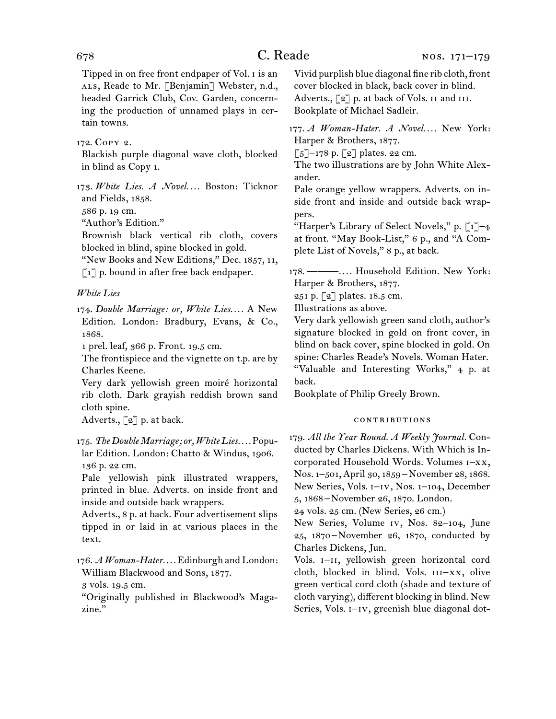Tipped in on free front endpaper of Vol. i is an ALS, Reade to Mr. [Benjamin] Webster, n.d., headed Garrick Club, Cov. Garden, concerning the production of unnamed plays in certain towns.

172. Copy 2.

Blackish purple diagonal wave cloth, blocked in blind as Copy 1.

173. *White Lies. A Novel. . . .* Boston: Ticknor and Fields, 1858.

586 p. 19 cm.

"Author's Edition."

Brownish black vertical rib cloth, covers blocked in blind, spine blocked in gold.

"New Books and New Editions," Dec. 1857, 11, [1] p. bound in after free back endpaper.

*White Lies*

174. *Double Marriage: or, White Lies. . . .* A New Edition. London: Bradbury, Evans, & Co., 1868.

1 prel. leaf, 366 p. Front. 19.5 cm.

The frontispiece and the vignette on t.p. are by Charles Keene.

Very dark yellowish green moiré horizontal rib cloth. Dark grayish reddish brown sand cloth spine.

Adverts.,  $\lceil 2 \rceil$  p. at back.

Pale yellowish pink illustrated wrappers, printed in blue. Adverts. on inside front and inside and outside back wrappers.

Adverts., 8 p. at back. Four advertisement slips tipped in or laid in at various places in the text.

176. *A Woman-Hater. . . .* Edinburgh and London: William Blackwood and Sons, 1877.

3 vols. 19.5 cm.

"Originally published in Blackwood's Magazine."

Vivid purplish blue diagonal fine rib cloth, front cover blocked in black, back cover in blind. Adverts.,  $\lceil 2 \rceil$  p. at back of Vols. II and III. Bookplate of Michael Sadleir.

177. *A Woman-Hater. A Novel....* New York: Harper & Brothers, 1877.

 $\lceil 5 \rceil$ –178 p.  $\lceil 2 \rceil$  plates. 22 cm.

The two illustrations are by John White Alexander.

Pale orange yellow wrappers. Adverts. on inside front and inside and outside back wrappers.

"Harper's Library of Select Novels," p.  $\lceil 1 \rceil$ -4 at front. "May Book-List," 6 p., and "A Complete List of Novels," 8 p., at back.

178. ———*. . . .* Household Edition. New York: Harper & Brothers, 1877.

251 p. [2] plates. 18.5 cm.

Illustrations as above.

Very dark yellowish green sand cloth, author's signature blocked in gold on front cover, in blind on back cover, spine blocked in gold. On spine: Charles Reade's Novels. Woman Hater. "Valuable and Interesting Works," 4 p. at back.

Bookplate of Philip Greely Brown.

#### contributions

179. *All the Year Round. A Weekly Journal.* Conducted by Charles Dickens. With Which is Incorporated Household Words. Volumes i–xx, Nos. 1–501, April 30, 1859 –November 28, 1868. New Series, Vols. i–iv, Nos. 1–104, December 5, 1868 –November 26, 1870. London.

24 vols. 25 cm. (New Series, 26 cm.)

New Series, Volume iv, Nos. 82–104, June 25, 1870–November 26, 1870, conducted by Charles Dickens, Jun.

Vols. I-II, yellowish green horizontal cord cloth, blocked in blind. Vols.  $III-XX$ , olive green vertical cord cloth (shade and texture of cloth varying), different blocking in blind. New Series, Vols. I-IV, greenish blue diagonal dot-

<sup>175.</sup> *The Double Marriage; or, White Lies. . . .* Popular Edition. London: Chatto & Windus, 1906. 136 p. 22 cm.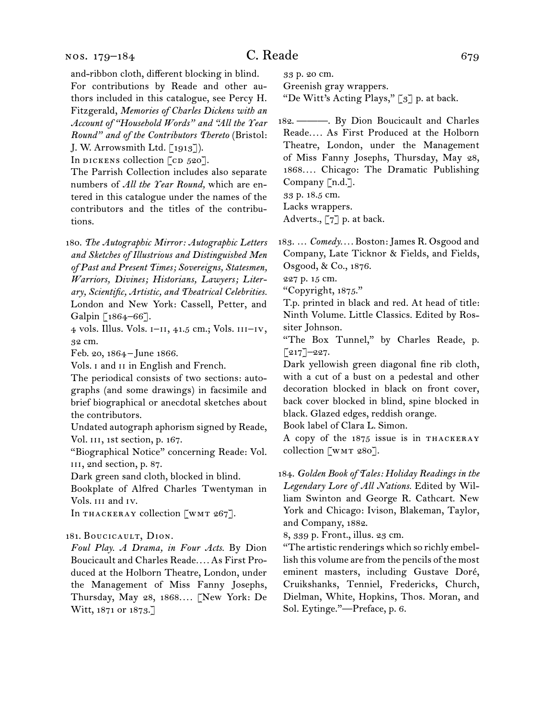and-ribbon cloth, different blocking in blind. For contributions by Reade and other authors included in this catalogue, see Percy H. Fitzgerald, *Memories of Charles Dickens with an Account of "Household Words" and "All the Year Round" and of the Contributors Thereto* (Bristol: J. W. Arrowsmith Ltd. [1913]).

In DICKENS collection  $[CD 520]$ .

The Parrish Collection includes also separate numbers of *All the Year Round,* which are entered in this catalogue under the names of the contributors and the titles of the contributions.

180. *The Autographic Mirror: Autographic Letters and Sketches of Illustrious and Distinguished Men of Past and Present Times; Sovereigns, Statesmen, Warriors, Divines; Historians, Lawyers; Literary, Scientific, Artistic, and Theatrical Celebrities.* London and New York: Cassell, Petter, and Galpin [1864–66].

4 vols. Illus. Vols. i–ii, 41.5 cm.; Vols. iii–iv, 32 cm.

Feb. 20, 1864– June 1866.

Vols. I and II in English and French.

The periodical consists of two sections: autographs (and some drawings) in facsimile and brief biographical or anecdotal sketches about the contributors.

Undated autograph aphorism signed by Reade, Vol. III, 1st section, p. 167.

"Biographical Notice" concerning Reade: Vol. iii, 2nd section, p. 87.

Dark green sand cloth, blocked in blind.

Bookplate of Alfred Charles Twentyman in Vols. iii and iv.

In THACKERAY collection [WMT 267].

#### 181. BOUCICAULT, DION.

*Foul Play. A Drama, in Four Acts.* By Dion Boucicault and Charles Reade*. . . .* As First Produced at the Holborn Theatre, London, under the Management of Miss Fanny Josephs, Thursday, May 28, 1868*. . . .* [New York: De Witt, 1871 or 1873.]

33 p. 20 cm.

Greenish gray wrappers.

"De Witt's Acting Plays," [3] p. at back.

182. ———. By Dion Boucicault and Charles Reade*. . . .* As First Produced at the Holborn Theatre, London, under the Management of Miss Fanny Josephs, Thursday, May 28, 1868*. . . .* Chicago: The Dramatic Publishing Company [n.d.]. 33 p. 18.5 cm. Lacks wrappers.

Adverts., [7] p. at back.

183. … *Comedy. . . .* Boston: James R. Osgood and Company, Late Ticknor & Fields, and Fields, Osgood, & Co., 1876.

227 p. 15 cm.

"Copyright, 1875."

T.p. printed in black and red. At head of title: Ninth Volume. Little Classics. Edited by Rossiter Johnson.

"The Box Tunnel," by Charles Reade, p.  $[217]$ –227.

Dark yellowish green diagonal fine rib cloth, with a cut of a bust on a pedestal and other decoration blocked in black on front cover, back cover blocked in blind, spine blocked in black. Glazed edges, reddish orange.

Book label of Clara L. Simon.

A copy of the 1875 issue is in THACKERAY collection [wmt 280].

184. *Golden Book of Tales: Holiday Readings in the Legendary Lore of All Nations.* Edited by William Swinton and George R. Cathcart. New York and Chicago: Ivison, Blakeman, Taylor, and Company, 1882.

8, 339 p. Front., illus. 23 cm.

"The artistic renderings which so richly embellish this volume are from the pencils of the most eminent masters, including Gustave Doré, Cruikshanks, Tenniel, Fredericks, Church, Dielman, White, Hopkins, Thos. Moran, and Sol. Eytinge."—Preface, p. 6.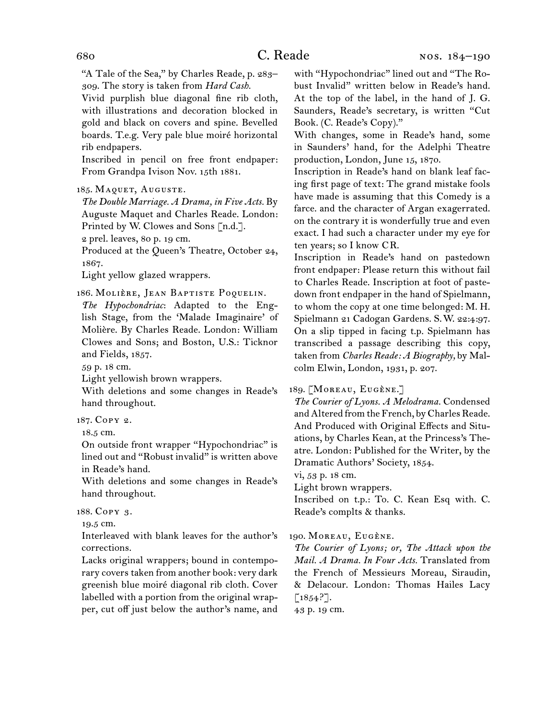"A Tale of the Sea," by Charles Reade, p. 283– 309. The story is taken from *Hard Cash.*

Vivid purplish blue diagonal fine rib cloth, with illustrations and decoration blocked in gold and black on covers and spine. Bevelled boards. T.e.g. Very pale blue moiré horizontal rib endpapers.

Inscribed in pencil on free front endpaper: From Grandpa Ivison Nov. 15th 1881.

#### 185. MAQUET, AUGUSTE.

*The Double Marriage. A Drama, in Five Acts.* By Auguste Maquet and Charles Reade. London: Printed by W. Clowes and Sons [n.d.].

2 prel. leaves, 80 p. 19 cm.

Produced at the Queen's Theatre, October 24, 1867.

Light yellow glazed wrappers.

186. MOLIÈRE, JEAN BAPTISTE POQUELIN.

*The Hypochondriac*: Adapted to the English Stage, from the 'Malade Imaginaire' of Molière. By Charles Reade. London: William Clowes and Sons; and Boston, U.S.: Ticknor and Fields, 1857.

59 p. 18 cm.

Light yellowish brown wrappers.

With deletions and some changes in Reade's hand throughout.

187. Copy 2.

18.5 cm.

On outside front wrapper "Hypochondriac" is lined out and "Robust invalid" is written above in Reade's hand.

With deletions and some changes in Reade's hand throughout.

188. Copy 3.

19.5 cm.

Interleaved with blank leaves for the author's corrections.

Lacks original wrappers; bound in contemporary covers taken from another book: very dark greenish blue moiré diagonal rib cloth. Cover labelled with a portion from the original wrapper, cut off just below the author's name, and with "Hypochondriac" lined out and "The Robust Invalid" written below in Reade's hand. At the top of the label, in the hand of J. G. Saunders, Reade's secretary, is written "Cut Book. (C. Reade's Copy)."

With changes, some in Reade's hand, some in Saunders' hand, for the Adelphi Theatre production, London, June 15, 1870.

Inscription in Reade's hand on blank leaf facing first page of text: The grand mistake fools have made is assuming that this Comedy is a farce. and the character of Argan exagerrated. on the contrary it is wonderfully true and even exact. I had such a character under my eye for ten years; so I know CR.

Inscription in Reade's hand on pastedown front endpaper: Please return this without fail to Charles Reade. Inscription at foot of pastedown front endpaper in the hand of Spielmann, to whom the copy at one time belonged: M. H. Spielmann 21 Cadogan Gardens. S.W. 22:4:97. On a slip tipped in facing t.p. Spielmann has transcribed a passage describing this copy, taken from *Charles Reade: A Biography,* by Malcolm Elwin, London, 1931, p. 207.

189. [MOREAU, EUGÈNE.]

*The Courier of Lyons. A Melodrama.* Condensed and Altered from the French, by Charles Reade. And Produced with Original Effects and Situations, by Charles Kean, at the Princess's Theatre. London: Published for the Writer, by the Dramatic Authors' Society, 1854.

vi, 53 p. 18 cm.

Light brown wrappers.

Inscribed on t.p.: To. C. Kean Esq with. C. Reade's complts & thanks.

190. MOREAU, EUGÈNE.

*The Courier of Lyons; or, The Attack upon the Mail. A Drama. In Four Acts.* Translated from the French of Messieurs Moreau, Siraudin, & Delacour. London: Thomas Hailes Lacy  $[1854?].$ 

43 p. 19 cm.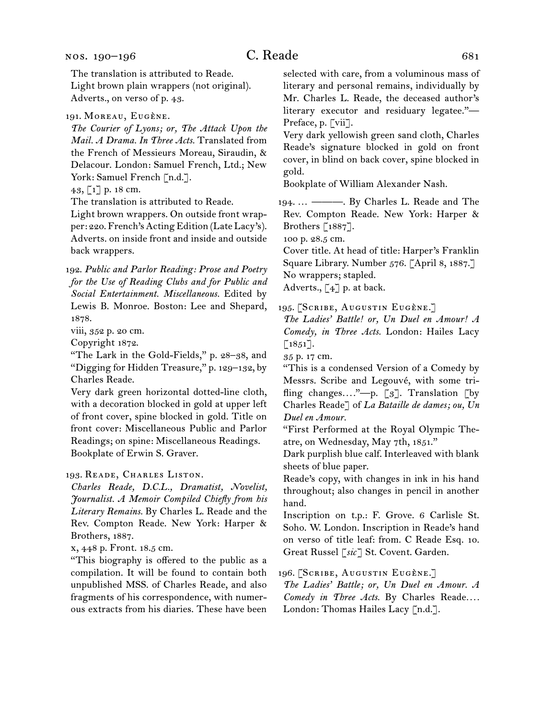The translation is attributed to Reade. Light brown plain wrappers (not original). Adverts., on verso of p. 43.

#### 191. MOREAU, EUGÈNE.

*The Courier of Lyons; or, The Attack Upon the Mail. A Drama. In Three Acts.* Translated from the French of Messieurs Moreau, Siraudin, & Delacour. London: Samuel French, Ltd.; New York: Samuel French [n.d.].

43, [1] p. 18 cm.

The translation is attributed to Reade.

Light brown wrappers. On outside front wrapper: 220. French's Acting Edition (Late Lacy's). Adverts. on inside front and inside and outside back wrappers.

192. *Public and Parlor Reading: Prose and Poetry for the Use of Reading Clubs and for Public and Social Entertainment. Miscellaneous.* Edited by Lewis B. Monroe. Boston: Lee and Shepard, 1878.

viii, 352 p. 20 cm.

Copyright 1872.

"The Lark in the Gold-Fields," p. 28–38, and "Digging for Hidden Treasure," p. 129–132, by Charles Reade.

Very dark green horizontal dotted-line cloth, with a decoration blocked in gold at upper left of front cover, spine blocked in gold. Title on front cover: Miscellaneous Public and Parlor Readings; on spine: Miscellaneous Readings. Bookplate of Erwin S. Graver.

193. Reade, Charles Liston.

*Charles Reade, D.C.L., Dramatist, Novelist, Journalist. A Memoir Compiled Chiefly from his Literary Remains.* By Charles L. Reade and the Rev. Compton Reade. New York: Harper & Brothers, 1887.

x, 448 p. Front. 18.5 cm.

"This biography is offered to the public as a compilation. It will be found to contain both unpublished MSS. of Charles Reade, and also fragments of his correspondence, with numerous extracts from his diaries. These have been

selected with care, from a voluminous mass of literary and personal remains, individually by Mr. Charles L. Reade, the deceased author's literary executor and residuary legatee."— Preface, p. [vii].

Very dark yellowish green sand cloth, Charles Reade's signature blocked in gold on front cover, in blind on back cover, spine blocked in gold.

Bookplate of William Alexander Nash.

194. … ———. By Charles L. Reade and The Rev. Compton Reade. New York: Harper & Brothers [1887].

100 p. 28.5 cm.

Cover title. At head of title: Harper's Franklin Square Library. Number 576. [April 8, 1887.] No wrappers; stapled.

Adverts.,  $\lceil 4 \rceil$  p. at back.

195. [SCRIBE, AUGUSTIN EUGÈNE.]

*The Ladies' Battle! or, Un Duel en Amour! A Comedy, in Three Acts.* London: Hailes Lacy  $\left[1851\right]$ .

35 p. 17 cm.

"This is a condensed Version of a Comedy by Messrs. Scribe and Legouvé, with some trifling changes...."-p. [3]. Translation [by Charles Reade] of *La Bataille de dames; ou, Un Duel en Amour.*

"First Performed at the Royal Olympic Theatre, on Wednesday, May 7th, 1851."

Dark purplish blue calf. Interleaved with blank sheets of blue paper.

Reade's copy, with changes in ink in his hand throughout; also changes in pencil in another hand.

Inscription on t.p.: F. Grove. 6 Carlisle St. Soho. W. London. Inscription in Reade's hand on verso of title leaf: from. C Reade Esq. 10. Great Russel [*sic*] St. Covent. Garden.

196. [SCRIBE, AUGUSTIN EUGÈNE.]

*The Ladies' Battle; or, Un Duel en Amour. A Comedy in Three Acts.* By Charles Reade*. . . .* London: Thomas Hailes Lacy [n.d.].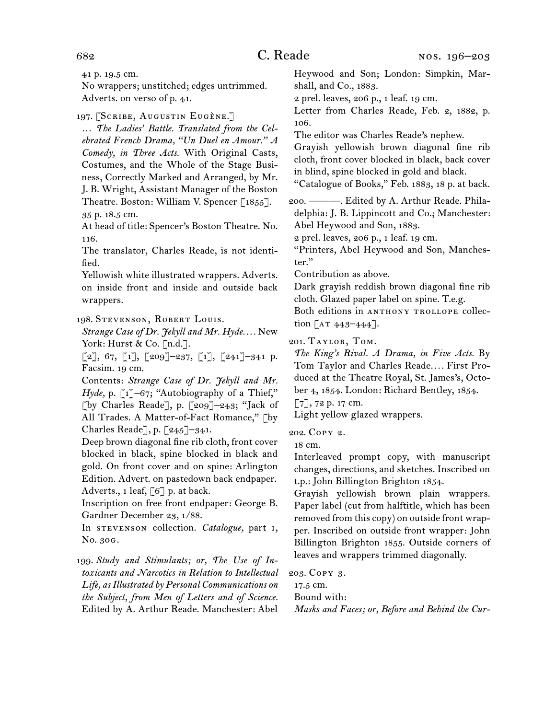41 p. 19.5 cm.

No wrappers; unstitched; edges untrimmed. Adverts. on verso of p. 41.

197. [SCRIBE, AUGUSTIN EUGÈNE.]

… *The Ladies' Battle. Translated from the Celebrated French Drama, "Un Duel en Amour." A Comedy, in Three Acts.* With Original Casts, Costumes, and the Whole of the Stage Business, Correctly Marked and Arranged, by Mr. J. B. Wright, Assistant Manager of the Boston Theatre. Boston: William V. Spencer [1855]. 35 p. 18.5 cm.

At head of title: Spencer's Boston Theatre. No. 116.

The translator, Charles Reade, is not identified.

Yellowish white illustrated wrappers. Adverts. on inside front and inside and outside back wrappers.

198. Stevenson, Robert Louis.

*Strange Case of Dr. Jekyll and Mr. Hyde. . . .* New York: Hurst & Co. [n.d.].

 $[2], 67, [1], [209]$  -237,  $[1], [241]$  -341 p. Facsim. 19 cm.

Contents: *Strange Case of Dr. Jekyll and Mr.*  Hyde, p. [1]-67; "Autobiography of a Thief," [by Charles Reade], p. [209]–243; "Jack of All Trades. A Matter-of-Fact Romance," [by Charles Reade], p. [245]–341.

Deep brown diagonal fine rib cloth, front cover blocked in black, spine blocked in black and gold. On front cover and on spine: Arlington Edition. Advert. on pastedown back endpaper. Adverts., 1 leaf, [6] p. at back.

Inscription on free front endpaper: George B. Gardner December 23, 1/88.

In stevenson collection. *Catalogue,* part i, No. 30g.

199. *Study and Stimulants; or, The Use of Intoxicants and Narcotics in Relation to Intellectual Life, as Illustrated by Personal Communications on the Subject, from Men of Letters and of Science.* Edited by A. Arthur Reade. Manchester: Abel

Heywood and Son; London: Simpkin, Marshall, and Co., 1883.

2 prel. leaves, 206 p., 1 leaf. 19 cm.

Letter from Charles Reade, Feb. 2, 1882, p. 106.

The editor was Charles Reade's nephew.

Grayish yellowish brown diagonal fine rib cloth, front cover blocked in black, back cover in blind, spine blocked in gold and black.

"Catalogue of Books," Feb. 1883, 18 p. at back.

200. ———. Edited by A. Arthur Reade. Philadelphia: J. B. Lippincott and Co.; Manchester: Abel Heywood and Son, 1883.

2 prel. leaves, 206 p., 1 leaf. 19 cm.

"Printers, Abel Heywood and Son, Manchester."

Contribution as above.

Dark grayish reddish brown diagonal fine rib cloth. Glazed paper label on spine. T.e.g.

Both editions in ANTHONY TROLLOPE collection  $[AT 443 - 444].$ 

201. Taylor, Tom.

*The King's Rival. A Drama, in Five Acts.* By Tom Taylor and Charles Reade*. . . .* First Produced at the Theatre Royal, St. James's, October 4, 1854. London: Richard Bentley, 1854.

[7], 72 p. 17 cm.

Light yellow glazed wrappers.

202. Copy 2.

18 cm.

Interleaved prompt copy, with manuscript changes, directions, and sketches. Inscribed on t.p.: John Billington Brighton 1854.

Grayish yellowish brown plain wrappers. Paper label (cut from halftitle, which has been removed from this copy) on outside front wrapper. Inscribed on outside front wrapper: John Billington Brighton 1855. Outside corners of leaves and wrappers trimmed diagonally.

203. Copy 3.

17.5 cm.

Bound with:

*Masks and Faces; or, Before and Behind the Cur-*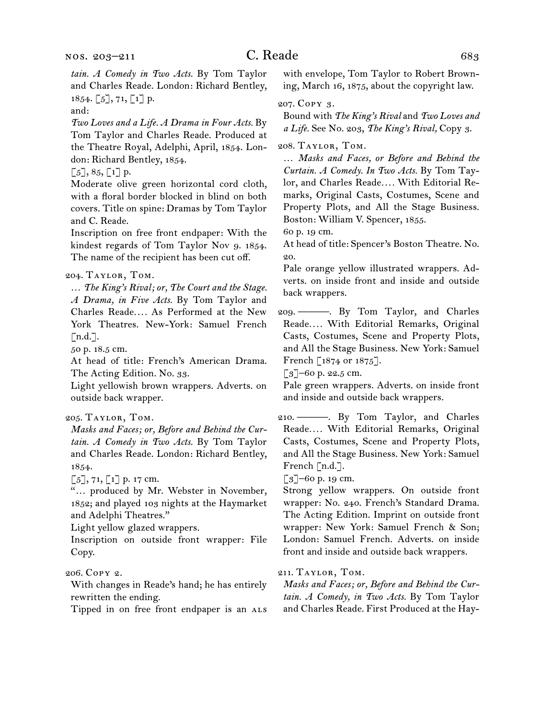and:

*Two Loves and a Life. A Drama in Four Acts.* By Tom Taylor and Charles Reade. Produced at the Theatre Royal, Adelphi, April, 1854. London: Richard Bentley, 1854.

 $\lbrack 5 \rbrack, 85, \lbrack 1 \rbrack$  p.

Moderate olive green horizontal cord cloth, with a floral border blocked in blind on both covers. Title on spine: Dramas by Tom Taylor and C. Reade.

Inscription on free front endpaper: With the kindest regards of Tom Taylor Nov 9. 1854. The name of the recipient has been cut off.

#### 204. Taylor, Tom.

… *The King's Rival; or, The Court and the Stage. A Drama, in Five Acts.* By Tom Taylor and Charles Reade*. . . .* As Performed at the New York Theatres. New-York: Samuel French  $\lceil n.d.\rceil$ .

50 p. 18.5 cm.

At head of title: French's American Drama. The Acting Edition. No. 33.

Light yellowish brown wrappers. Adverts. on outside back wrapper.

#### 205. Taylor, Tom.

*Masks and Faces; or, Before and Behind the Curtain. A Comedy in Two Acts.* By Tom Taylor and Charles Reade. London: Richard Bentley, 1854.

 $[5]$ , 71,  $[1]$  p. 17 cm.

"… produced by Mr. Webster in November, 1852; and played 103 nights at the Haymarket and Adelphi Theatres."

Light yellow glazed wrappers.

Inscription on outside front wrapper: File Copy.

206. Copy 2.

With changes in Reade's hand; he has entirely rewritten the ending.

Tipped in on free front endpaper is an ALS

with envelope, Tom Taylor to Robert Browning, March 16, 1875, about the copyright law.

#### 207. Copy 3.

Bound with *The King's Rival* and *Two Loves and a Life.* See No. 203, *The King's Rival,* Copy 3.

208. Taylor, Tom.

… *Masks and Faces, or Before and Behind the Curtain. A Comedy. In Two Acts.* By Tom Taylor, and Charles Reade*. . . .* With Editorial Remarks, Original Casts, Costumes, Scene and Property Plots, and All the Stage Business. Boston: William V. Spencer, 1855.

60 p. 19 cm.

At head of title: Spencer's Boston Theatre. No. 20.

Pale orange yellow illustrated wrappers. Adverts. on inside front and inside and outside back wrappers.

209. ———. By Tom Taylor, and Charles Reade*. . . .* With Editorial Remarks, Original Casts, Costumes, Scene and Property Plots, and All the Stage Business. New York: Samuel French [1874 or 1875].

 $\lceil 3 \rceil$ –60 p. 22.5 cm.

Pale green wrappers. Adverts. on inside front and inside and outside back wrappers.

210. ———. By Tom Taylor, and Charles Reade*. . . .* With Editorial Remarks, Original Casts, Costumes, Scene and Property Plots, and All the Stage Business. New York: Samuel French [n.d.].

 $\lceil 3 \rceil$ –60 p. 19 cm.

Strong yellow wrappers. On outside front wrapper: No. 240. French's Standard Drama. The Acting Edition. Imprint on outside front wrapper: New York: Samuel French & Son; London: Samuel French. Adverts. on inside front and inside and outside back wrappers.

211. Taylor, Tom.

*Masks and Faces; or, Before and Behind the Curtain. A Comedy, in Two Acts.* By Tom Taylor and Charles Reade. First Produced at the Hay-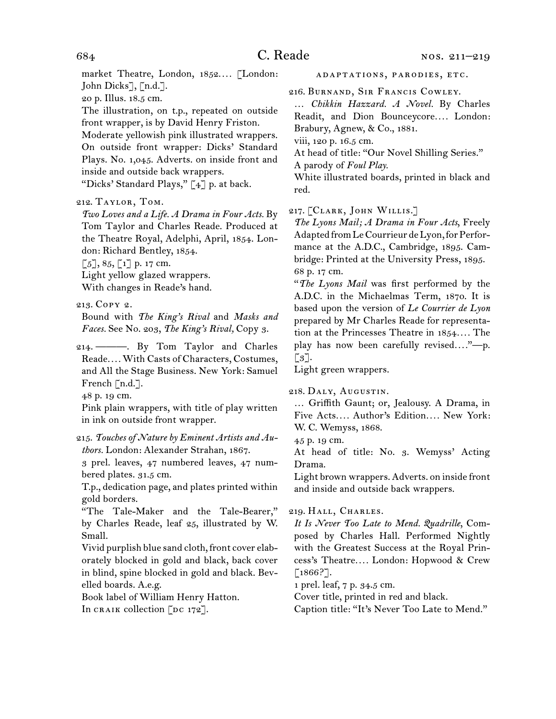market Theatre, London, 1852*. . . .* [London: John Dicks], [n.d.].

20 p. Illus. 18.5 cm.

The illustration, on t.p., repeated on outside front wrapper, is by David Henry Friston.

Moderate yellowish pink illustrated wrappers. On outside front wrapper: Dicks' Standard Plays. No. 1,045. Adverts. on inside front and inside and outside back wrappers.

"Dicks' Standard Plays," [4] p. at back.

#### 212. Taylor, Tom.

*Two Loves and a Life. A Drama in Four Acts.* By Tom Taylor and Charles Reade. Produced at the Theatre Royal, Adelphi, April, 1854. London: Richard Bentley, 1854.

 $[5]$ , 85,  $[1]$  p. 17 cm.

Light yellow glazed wrappers. With changes in Reade's hand.

213. Copy 2.

Bound with *The King's Rival* and *Masks and Faces.* See No. 203, *The King's Rival,* Copy 3.

214. ———. By Tom Taylor and Charles Reade*. . . .* With Casts of Characters, Costumes, and All the Stage Business. New York: Samuel French [n.d.].

48 p. 19 cm.

Pink plain wrappers, with title of play written in ink on outside front wrapper.

215. *Touches of Nature by Eminent Artists and Authors.* London: Alexander Strahan, 1867.

3 prel. leaves, 47 numbered leaves, 47 numbered plates. 31.5 cm.

T.p., dedication page, and plates printed within gold borders.

"The Tale-Maker and the Tale-Bearer," by Charles Reade, leaf 25, illustrated by W. Small.

Vivid purplish blue sand cloth, front cover elaborately blocked in gold and black, back cover in blind, spine blocked in gold and black. Bevelled boards. A.e.g.

Book label of William Henry Hatton. In CRAIK collection  $[DC 172]$ .

adaptations, parodies, etc.

216. Burnand, Sir Francis Cowley.

… *Chikkin Hazzard. A Novel.* By Charles Readit, and Dion Bounceycore.... London: Brabury, Agnew, & Co., 1881.

viii, 120 p. 16.5 cm.

At head of title: "Our Novel Shilling Series."

A parody of *Foul Play.*

White illustrated boards, printed in black and red.

#### 217. [CLARK, JOHN WILLIS.]

*The Lyons Mail; A Drama in Four Acts*, Freely Adapted from Le Courrieur de Lyon, for Performance at the A.D.C., Cambridge, 1895. Cambridge: Printed at the University Press, 1895. 68 p. 17 cm.

"*The Lyons Mail* was first performed by the A.D.C. in the Michaelmas Term, 1870. It is based upon the version of *Le Courrier de Lyon*  prepared by Mr Charles Reade for representation at the Princesses Theatre in 1854*. . . .* The play has now been carefully revised*. . . .*"—p.  $\lceil 3 \rceil$ .

Light green wrappers.

218. Daly, Augustin.

… Griffith Gaunt; or, Jealousy. A Drama, in Five Acts*. . . .* Author's Edition*. . . .* New York: W. C. Wemyss, 1868.

45 p. 19 cm.

At head of title: No. 3. Wemyss' Acting Drama.

Light brown wrappers. Adverts. on inside front and inside and outside back wrappers.

219. Hall, Charles.

*It Is Never Too Late to Mend. Quadrille*, Composed by Charles Hall. Performed Nightly with the Greatest Success at the Royal Princess's Theatre*. . . .* London: Hopwood & Crew [1866?].

1 prel. leaf, 7 p. 34.5 cm.

Cover title, printed in red and black.

Caption title: "It's Never Too Late to Mend."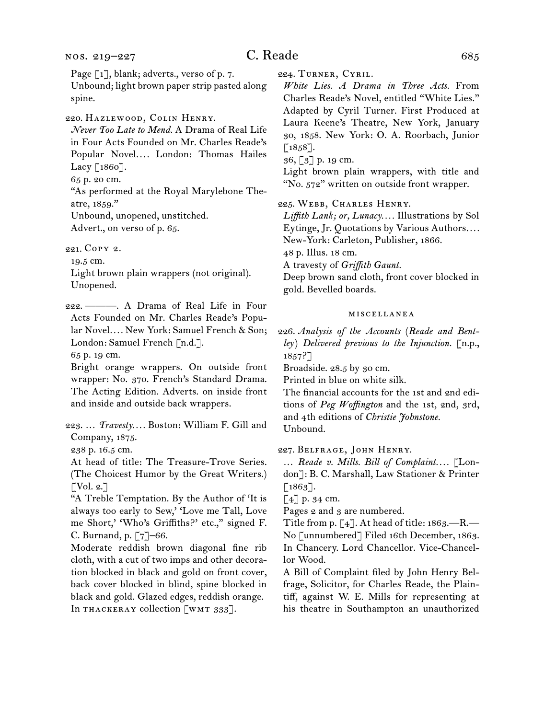# C. Reade 685

Page [1], blank; adverts., verso of p. 7.

Unbound; light brown paper strip pasted along spine.

220. Hazlewood, Colin Henry.

*Never Too Late to Mend.* A Drama of Real Life in Four Acts Founded on Mr. Charles Reade's Popular Novel*. . . .* London: Thomas Hailes Lacy [1860].

65 p. 20 cm.

"As performed at the Royal Marylebone Theatre, 1859." Unbound, unopened, unstitched.

Advert., on verso of p. 65.

221. Copy 2.

19.5 cm.

Light brown plain wrappers (not original). Unopened.

222. ———. A Drama of Real Life in Four Acts Founded on Mr. Charles Reade's Popular Novel*. . . .* New York: Samuel French & Son; London: Samuel French [n.d.].

65 p. 19 cm.

Bright orange wrappers. On outside front wrapper: No. 370. French's Standard Drama. The Acting Edition. Adverts. on inside front and inside and outside back wrappers.

223. … *Travesty. . . .* Boston: William F. Gill and Company, 1875.

238 p. 16.5 cm.

At head of title: The Treasure-Trove Series. (The Choicest Humor by the Great Writers.)  $\lceil \text{Vol. } 2. \rceil$ 

"A Treble Temptation. By the Author of 'It is always too early to Sew,' 'Love me Tall, Love me Short,' 'Who's Griffiths?' etc.," signed F. C. Burnand, p. [7]–66.

Moderate reddish brown diagonal fine rib cloth, with a cut of two imps and other decoration blocked in black and gold on front cover, back cover blocked in blind, spine blocked in black and gold. Glazed edges, reddish orange. In THACKERAY collection [WMT 333].

224. Turner, Cyril.

*White Lies. A Drama in Three Acts.* From Charles Reade's Novel, entitled "White Lies." Adapted by Cyril Turner. First Produced at Laura Keene's Theatre, New York, January 30, 1858. New York: O. A. Roorbach, Junior  $\lceil 1858 \rceil$ .

36, [3] p. 19 cm.

Light brown plain wrappers, with title and "No. 572" written on outside front wrapper.

225. Webb, Charles Henry.

*Liffith Lank; or, Lunacy. . . .* Illustrations by Sol Eytinge, Jr. Quotations by Various Authors*. . . .* New-York: Carleton, Publisher, 1866.

48 p. Illus. 18 cm.

A travesty of *Griffith Gaunt.*

Deep brown sand cloth, front cover blocked in gold. Bevelled boards.

#### miscellanea

226. *Analysis of the Accounts* (*Reade and Bentley*) *Delivered previous to the Injunction.* [n.p., 1857?]

Broadside. 28.5 by 30 cm.

Printed in blue on white silk.

The financial accounts for the 1st and 2nd editions of *Peg Woffington* and the 1st, 2nd, 3rd, and 4th editions of *Christie Johnstone.* Unbound.

227. Belfrage, John Henry.

… *Reade v. Mills. Bill of Complaint. . . .* [London]: B. C. Marshall, Law Stationer & Printer [1863].

[4] p. 34 cm.

Pages 2 and 3 are numbered.

Title from p.  $[4]$ . At head of title: 1863.—R.— No [unnumbered] Filed 16th December, 1863. In Chancery. Lord Chancellor. Vice-Chancellor Wood.

A Bill of Complaint filed by John Henry Belfrage, Solicitor, for Charles Reade, the Plaintiff, against W. E. Mills for representing at his theatre in Southampton an unauthorized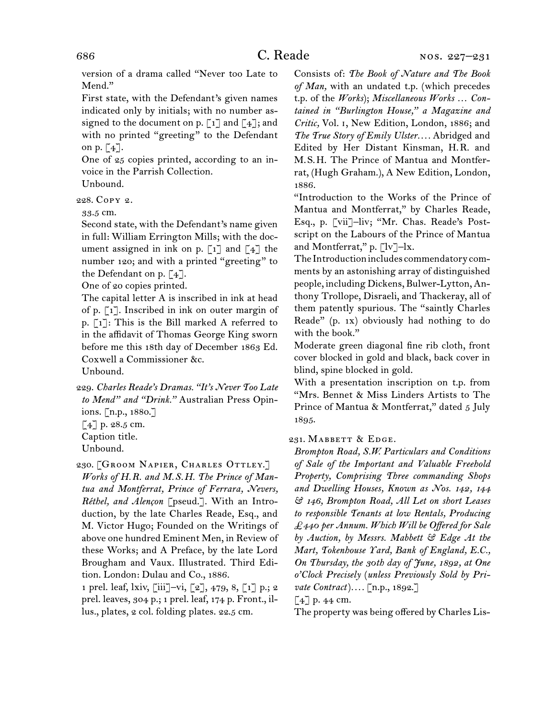version of a drama called "Never too Late to Mend."

First state, with the Defendant's given names indicated only by initials; with no number assigned to the document on p.  $\lceil 1 \rceil$  and  $\lceil 4 \rceil$ ; and with no printed "greeting" to the Defendant on p.  $\lceil 4 \rceil$ .

One of 25 copies printed, according to an invoice in the Parrish Collection.

Unbound.

228. Copy 2.

33.5 cm.

Second state, with the Defendant's name given in full: William Errington Mills; with the document assigned in ink on p.  $\lceil 1 \rceil$  and  $\lceil 4 \rceil$  the number 120; and with a printed "greeting" to the Defendant on p. [4].

One of 20 copies printed.

The capital letter A is inscribed in ink at head of p. [1]. Inscribed in ink on outer margin of p. [1]: This is the Bill marked A referred to in the affidavit of Thomas George King sworn before me this 18th day of December 1863 Ed. Coxwell a Commissioner &c.

Unbound.

229. *Charles Reade's Dramas. "It's Never Too Late to Mend" and "Drink."* Australian Press Opinions. [n.p., 1880.] [4] p. 28.5 cm.

Caption title.

230. [GROOM NAPIER, CHARLES OTTLEY.] *Works of H.R. and M.S.H. The Prince of Mantua and Montferrat, Prince of Ferrara, Nevers, Réthel, and Alençon* [pseud.]. With an Introduction, by the late Charles Reade, Esq., and M. Victor Hugo; Founded on the Writings of above one hundred Eminent Men, in Review of these Works; and A Preface, by the late Lord Brougham and Vaux. Illustrated. Third Edition. London: Dulau and Co., 1886.

1 prel. leaf, lxiv, [iii]–vi, [2], 479, 8, [1] p.; 2 prel. leaves, 304 p.; 1 prel. leaf, 174 p. Front., illus., plates, 2 col. folding plates. 22.5 cm.

Consists of: *The Book of Nature and The Book of Man,* with an undated t.p. (which precedes t.p. of the *Works*); *Miscellaneous Works … Contained in "Burlington House," a Magazine and Critic,* Vol. i, New Edition, London, 1886; and *The True Story of Emily Ulster. . . .* Abridged and Edited by Her Distant Kinsman, H.R. and M.S.H. The Prince of Mantua and Montferrat, (Hugh Graham.), A New Edition, London, 1886.

"Introduction to the Works of the Prince of Mantua and Montferrat," by Charles Reade, Esq., p. [vii]–liv; "Mr. Chas. Reade's Postscript on the Labours of the Prince of Mantua and Montferrat," p. [lv]-lx.

The Introduction includes commendatory comments by an astonishing array of distinguished people, including Dickens, Bulwer-Lytton, Anthony Trollope, Disraeli, and Thackeray, all of them patently spurious. The "saintly Charles Reade" (p. 1x) obviously had nothing to do with the book."

Moderate green diagonal fine rib cloth, front cover blocked in gold and black, back cover in blind, spine blocked in gold.

With a presentation inscription on t.p. from "Mrs. Bennet & Miss Linders Artists to The Prince of Mantua & Montferrat," dated 5 July 1895.

231. MABBETT & EDGE.

*Brompton Road, S.W. Particulars and Conditions of Sale of the Important and Valuable Freehold Property, Comprising Three commanding Shops and Dwelling Houses, Known as Nos. 142, 144 & 146, Brompton Road, All Let on short Leases to responsible Tenants at low Rentals, Producing £440 per Annum. Which Will be Offered for Sale by Auction, by Messrs. Mabbett & Edge At the Mart, Tokenhouse Yard, Bank of England, E.C., On Thursday, the 30th day of June, 1892, at One o'Clock Precisely* (*unless Previously Sold by Private Contract*)*. . . .* [n.p., 1892.]

[4] p. 44 cm.

The property was being offered by Charles Lis-

Unbound.